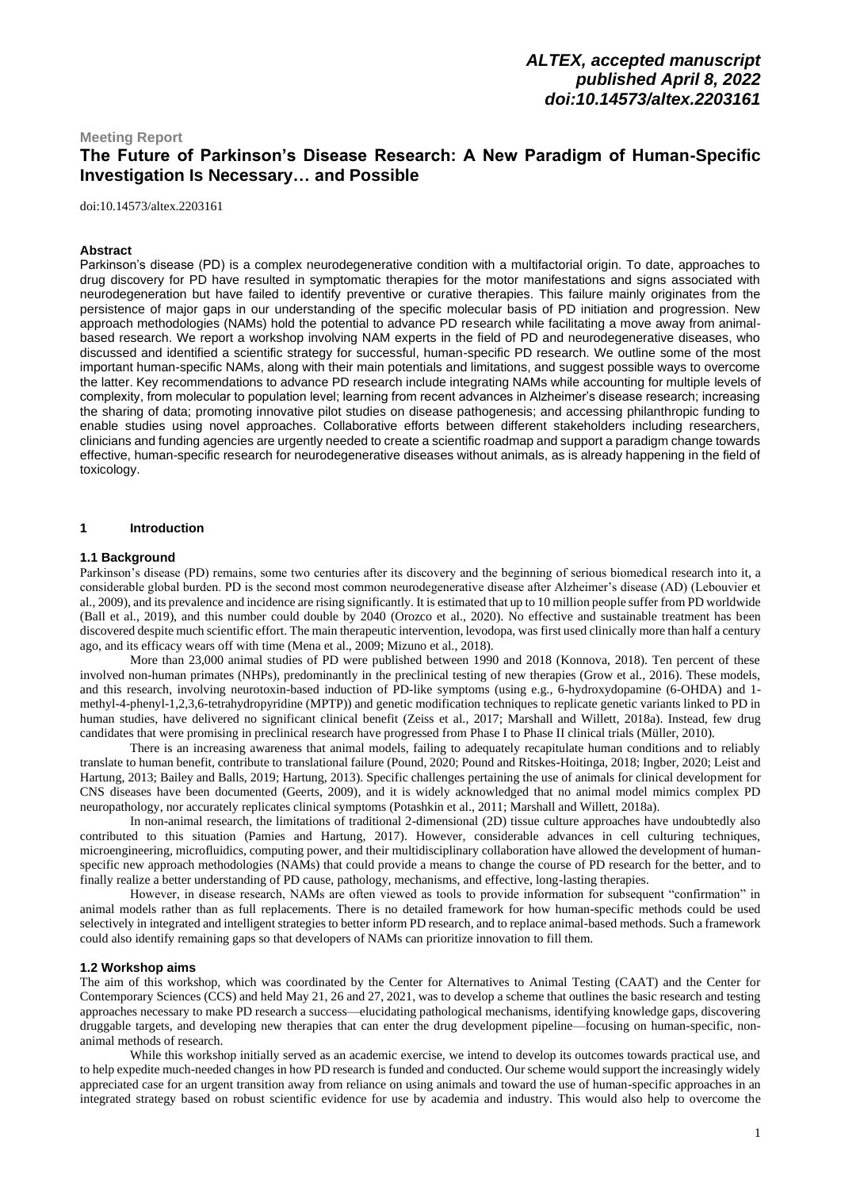## **Meeting Report The Future of Parkinson's Disease Research: A New Paradigm of Human-Specific Investigation Is Necessary… and Possible**

[doi:10.14573/altex.2203161](https://doi.org/10.14573/altex.2203161)

#### **Abstract**

Parkinson's disease (PD) is a complex neurodegenerative condition with a multifactorial origin. To date, approaches to drug discovery for PD have resulted in symptomatic therapies for the motor manifestations and signs associated with neurodegeneration but have failed to identify preventive or curative therapies. This failure mainly originates from the persistence of major gaps in our understanding of the specific molecular basis of PD initiation and progression. New approach methodologies (NAMs) hold the potential to advance PD research while facilitating a move away from animalbased research. We report a workshop involving NAM experts in the field of PD and neurodegenerative diseases, who discussed and identified a scientific strategy for successful, human-specific PD research. We outline some of the most important human-specific NAMs, along with their main potentials and limitations, and suggest possible ways to overcome the latter. Key recommendations to advance PD research include integrating NAMs while accounting for multiple levels of complexity, from molecular to population level; learning from recent advances in Alzheimer's disease research; increasing the sharing of data; promoting innovative pilot studies on disease pathogenesis; and accessing philanthropic funding to enable studies using novel approaches. Collaborative efforts between different stakeholders including researchers, clinicians and funding agencies are urgently needed to create a scientific roadmap and support a paradigm change towards effective, human-specific research for neurodegenerative diseases without animals, as is already happening in the field of toxicology.

#### **1 Introduction**

#### **1.1 Background**

Parkinson's disease (PD) remains, some two centuries after its discovery and the beginning of serious biomedical research into it, a considerable global burden. PD is the second most common neurodegenerative disease after Alzheimer's disease (AD) (Lebouvier et al., 2009), and its prevalence and incidence are rising significantly. It is estimated that up to 10 million people suffer from PD worldwide (Ball et al., 2019), and this number could double by 2040 (Orozco et al., 2020). No effective and sustainable treatment has been discovered despite much scientific effort. The main therapeutic intervention, levodopa, was first used clinically more than half a century ago, and its efficacy wears off with time (Mena et al., 2009; Mizuno et al., 2018).

More than 23,000 animal studies of PD were published between 1990 and 2018 (Konnova, 2018). Ten percent of these involved non-human primates (NHPs), predominantly in the preclinical testing of new therapies (Grow et al., 2016). These models, and this research, involving neurotoxin-based induction of PD-like symptoms (using e.g., 6-hydroxydopamine (6-OHDA) and 1 methyl-4-phenyl-1,2,3,6-tetrahydropyridine (MPTP)) and genetic modification techniques to replicate genetic variants linked to PD in human studies, have delivered no significant clinical benefit (Zeiss et al., 2017; Marshall and Willett, 2018a). Instead, few drug candidates that were promising in preclinical research have progressed from Phase I to Phase II clinical trials (Müller, 2010).

There is an increasing awareness that animal models, failing to adequately recapitulate human conditions and to reliably translate to human benefit, contribute to translational failure (Pound, 2020; Pound and Ritskes-Hoitinga, 2018; Ingber, 2020; Leist and Hartung, 2013; Bailey and Balls, 2019; Hartung, 2013). Specific challenges pertaining the use of animals for clinical development for CNS diseases have been documented (Geerts, 2009), and it is widely acknowledged that no animal model mimics complex PD neuropathology, nor accurately replicates clinical symptoms (Potashkin et al., 2011; Marshall and Willett, 2018a).

In non-animal research, the limitations of traditional 2-dimensional (2D) tissue culture approaches have undoubtedly also contributed to this situation (Pamies and Hartung, 2017). However, considerable advances in cell culturing techniques, microengineering, microfluidics, computing power, and their multidisciplinary collaboration have allowed the development of humanspecific new approach methodologies (NAMs) that could provide a means to change the course of PD research for the better, and to finally realize a better understanding of PD cause, pathology, mechanisms, and effective, long-lasting therapies.

However, in disease research, NAMs are often viewed as tools to provide information for subsequent "confirmation" in animal models rather than as full replacements. There is no detailed framework for how human-specific methods could be used selectively in integrated and intelligent strategies to better inform PD research, and to replace animal-based methods. Such a framework could also identify remaining gaps so that developers of NAMs can prioritize innovation to fill them.

### **1.2 Workshop aims**

The aim of this workshop, which was coordinated by the Center for Alternatives to Animal Testing (CAAT) and the Center for Contemporary Sciences (CCS) and held May 21, 26 and 27, 2021, was to develop a scheme that outlines the basic research and testing approaches necessary to make PD research a success—elucidating pathological mechanisms, identifying knowledge gaps, discovering druggable targets, and developing new therapies that can enter the drug development pipeline—focusing on human-specific, nonanimal methods of research.

While this workshop initially served as an academic exercise, we intend to develop its outcomes towards practical use, and to help expedite much-needed changes in how PD research is funded and conducted. Our scheme would support the increasingly widely appreciated case for an urgent transition away from reliance on using animals and toward the use of human-specific approaches in an integrated strategy based on robust scientific evidence for use by academia and industry. This would also help to overcome the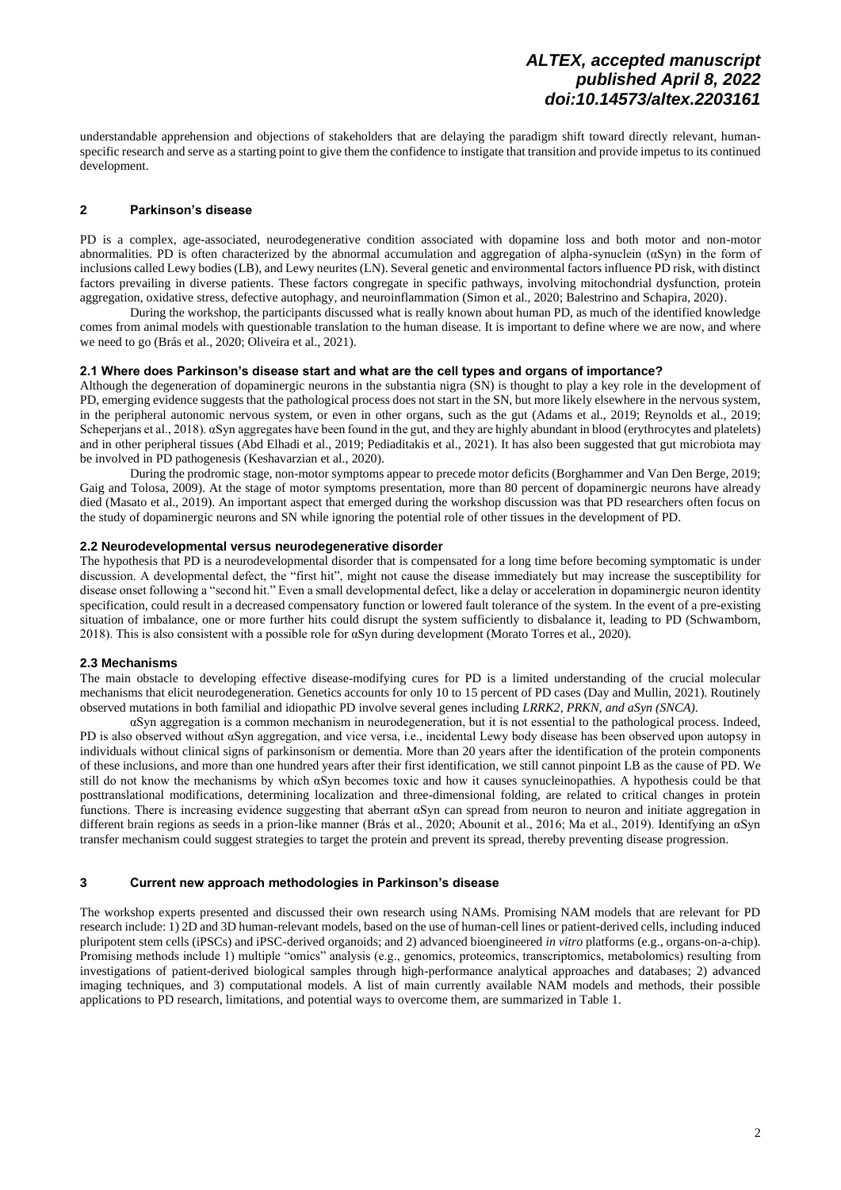understandable apprehension and objections of stakeholders that are delaying the paradigm shift toward directly relevant, humanspecific research and serve as a starting point to give them the confidence to instigate that transition and provide impetus to its continued development.

## **2 Parkinson's disease**

PD is a complex, age-associated, neurodegenerative condition associated with dopamine loss and both motor and non-motor abnormalities. PD is often characterized by the abnormal accumulation and aggregation of alpha-synuclein (αSyn) in the form of inclusions called Lewy bodies (LB), and Lewy neurites (LN). Several genetic and environmental factors influence PD risk, with distinct factors prevailing in diverse patients. These factors congregate in specific pathways, involving mitochondrial dysfunction, protein aggregation, oxidative stress, defective autophagy, and neuroinflammation (Simon et al., 2020; Balestrino and Schapira, 2020).

During the workshop, the participants discussed what is really known about human PD, as much of the identified knowledge comes from animal models with questionable translation to the human disease. It is important to define where we are now, and where we need to go (Brás et al., 2020; Oliveira et al., 2021).

### **2.1 Where does Parkinson's disease start and what are the cell types and organs of importance?**

Although the degeneration of dopaminergic neurons in the substantia nigra (SN) is thought to play a key role in the development of PD, emerging evidence suggests that the pathological process does not start in the SN, but more likely elsewhere in the nervous system, in the peripheral autonomic nervous system, or even in other organs, such as the gut (Adams et al., 2019; Reynolds et al., 2019; Scheperjans et al., 2018). αSyn aggregates have been found in the gut, and they are highly abundant in blood (erythrocytes and platelets) and in other peripheral tissues (Abd Elhadi et al., 2019; Pediaditakis et al., 2021). It has also been suggested that gut microbiota may be involved in PD pathogenesis (Keshavarzian et al., 2020).

During the prodromic stage, non-motor symptoms appear to precede motor deficits (Borghammer and Van Den Berge, 2019; Gaig and Tolosa, 2009). At the stage of motor symptoms presentation, more than 80 percent of dopaminergic neurons have already died (Masato et al., 2019). An important aspect that emerged during the workshop discussion was that PD researchers often focus on the study of dopaminergic neurons and SN while ignoring the potential role of other tissues in the development of PD.

### **2.2 Neurodevelopmental versus neurodegenerative disorder**

The hypothesis that PD is a neurodevelopmental disorder that is compensated for a long time before becoming symptomatic is under discussion. A developmental defect, the "first hit", might not cause the disease immediately but may increase the susceptibility for disease onset following a "second hit." Even a small developmental defect, like a delay or acceleration in dopaminergic neuron identity specification, could result in a decreased compensatory function or lowered fault tolerance of the system. In the event of a pre-existing situation of imbalance, one or more further hits could disrupt the system sufficiently to disbalance it, leading to PD (Schwamborn, 2018). This is also consistent with a possible role for αSyn during development (Morato Torres et al., 2020).

### **2.3 Mechanisms**

The main obstacle to developing effective disease-modifying cures for PD is a limited understanding of the crucial molecular mechanisms that elicit neurodegeneration. Genetics accounts for only 10 to 15 percent of PD cases (Day and Mullin, 2021). Routinely observed mutations in both familial and idiopathic PD involve several genes including *LRRK2*, *PRKN, and aSyn (SNCA)*.

αSyn aggregation is a common mechanism in neurodegeneration, but it is not essential to the pathological process. Indeed, PD is also observed without αSyn aggregation, and vice versa, i.e., incidental Lewy body disease has been observed upon autopsy in individuals without clinical signs of parkinsonism or dementia. More than 20 years after the identification of the protein components of these inclusions, and more than one hundred years after their first identification, we still cannot pinpoint LB as the cause of PD. We still do not know the mechanisms by which αSyn becomes toxic and how it causes synucleinopathies. A hypothesis could be that posttranslational modifications, determining localization and three-dimensional folding, are related to critical changes in protein functions. There is increasing evidence suggesting that aberrant αSyn can spread from neuron to neuron and initiate aggregation in different brain regions as seeds in a prion-like manner (Brás et al., 2020; Abounit et al., 2016; Ma et al., 2019). Identifying an αSyn transfer mechanism could suggest strategies to target the protein and prevent its spread, thereby preventing disease progression.

### **3 Current new approach methodologies in Parkinson's disease**

The workshop experts presented and discussed their own research using NAMs. Promising NAM models that are relevant for PD research include: 1) 2D and 3D human-relevant models, based on the use of human-cell lines or patient-derived cells, including induced pluripotent stem cells (iPSCs) and iPSC-derived organoids; and 2) advanced bioengineered *in vitro* platforms (e.g., organs-on-a-chip). Promising methods include 1) multiple "omics" analysis (e.g., genomics, proteomics, transcriptomics, metabolomics) resulting from investigations of patient-derived biological samples through high-performance analytical approaches and databases; 2) advanced imaging techniques, and 3) computational models. A list of main currently available NAM models and methods, their possible applications to PD research, limitations, and potential ways to overcome them, are summarized in Table 1.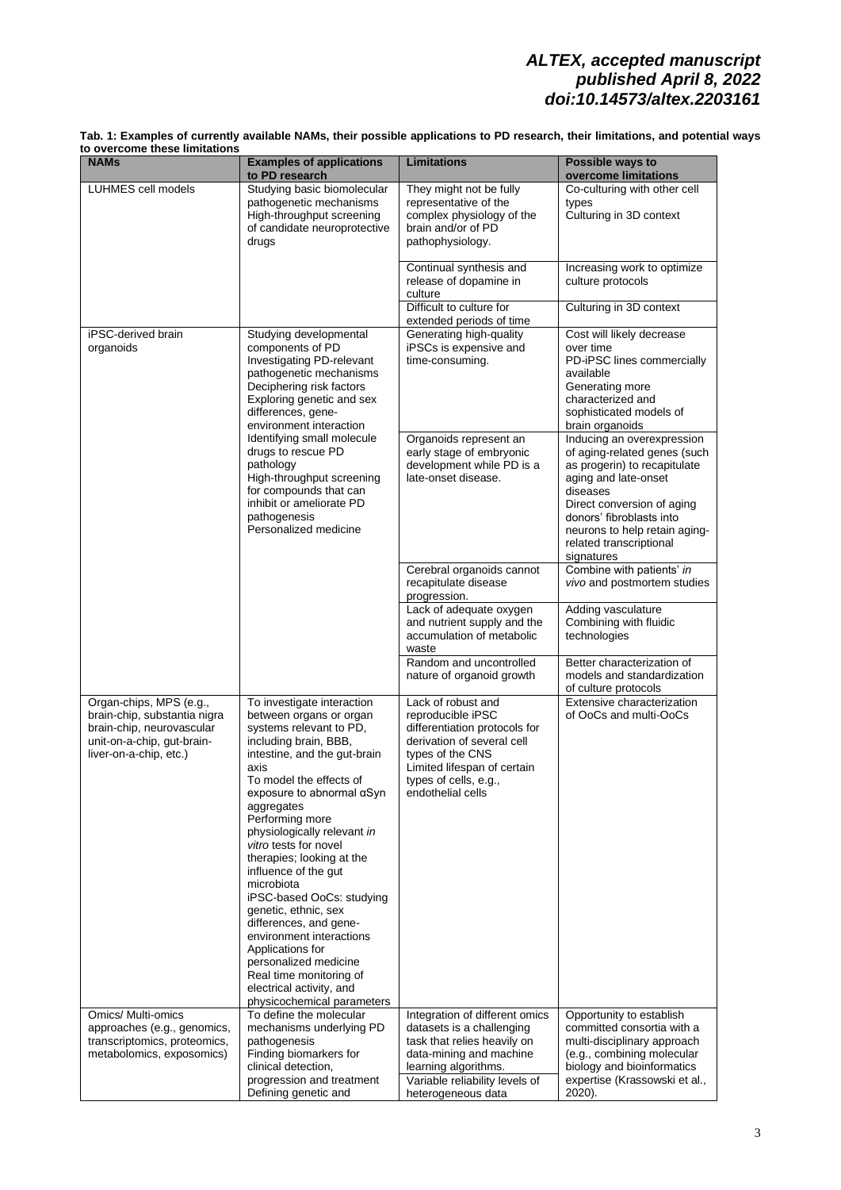| Tab. 1: Examples of currently available NAMs, their possible applications to PD research, their limitations, and potential ways |  |
|---------------------------------------------------------------------------------------------------------------------------------|--|
| to overcome these limitations                                                                                                   |  |

| to PD research<br>LUHMES cell models<br>Studying basic biomolecular<br>They might not be fully<br>pathogenetic mechanisms<br>representative of the<br>types<br>High-throughput screening<br>complex physiology of the<br>brain and/or of PD<br>of candidate neuroprotective<br>drugs<br>pathophysiology.<br>Continual synthesis and<br>release of dopamine in<br>culture protocols<br>culture<br>Difficult to culture for<br>extended periods of time<br>Generating high-quality<br>iPSC-derived brain<br>Studying developmental<br>components of PD<br>iPSCs is expensive and<br>organoids<br>over time<br>Investigating PD-relevant<br>time-consuming.<br>pathogenetic mechanisms<br>available<br>Deciphering risk factors<br>Generating more<br>characterized and<br>Exploring genetic and sex<br>differences, gene-<br>environment interaction<br>brain organoids<br>Identifying small molecule<br>Organoids represent an<br>drugs to rescue PD<br>early stage of embryonic<br>pathology<br>development while PD is a<br>High-throughput screening<br>late-onset disease.<br>aging and late-onset<br>for compounds that can<br>diseases<br>inhibit or ameliorate PD<br>pathogenesis<br>Personalized medicine<br>signatures<br>Cerebral organoids cannot<br>recapitulate disease<br>progression.<br>Lack of adequate oxygen<br>Adding vasculature<br>and nutrient supply and the<br>technologies<br>accumulation of metabolic<br>waste<br>Random and uncontrolled<br>nature of organoid growth<br>of culture protocols<br>Lack of robust and<br>Organ-chips, MPS (e.g.,<br>To investigate interaction<br>brain-chip, substantia nigra<br>between organs or organ<br>reproducible iPSC<br>brain-chip, neurovascular<br>systems relevant to PD,<br>differentiation protocols for<br>unit-on-a-chip, gut-brain-<br>including brain, BBB,<br>derivation of several cell<br>types of the CNS<br>liver-on-a-chip, etc.)<br>intestine, and the gut-brain<br>Limited lifespan of certain<br>axis<br>To model the effects of<br>types of cells, e.g.,<br>endothelial cells<br>exposure to abnormal $\alpha$ Syn<br>aggregates<br>Performing more<br>physiologically relevant in<br>vitro tests for novel<br>therapies; looking at the<br>influence of the gut<br>microbiota<br>iPSC-based OoCs: studying<br>genetic, ethnic, sex<br>differences, and gene-<br>environment interactions<br>Applications for<br>personalized medicine<br>Real time monitoring of<br>electrical activity, and<br>physicochemical parameters<br>To define the molecular<br>Omics/ Multi-omics<br>Integration of different omics<br>Opportunity to establish | to overcome tnese limitations<br><b>NAMs</b> | <b>Examples of applications</b> | <b>Limitations</b>        | Possible ways to                                                                                                                                                                                                 |
|-----------------------------------------------------------------------------------------------------------------------------------------------------------------------------------------------------------------------------------------------------------------------------------------------------------------------------------------------------------------------------------------------------------------------------------------------------------------------------------------------------------------------------------------------------------------------------------------------------------------------------------------------------------------------------------------------------------------------------------------------------------------------------------------------------------------------------------------------------------------------------------------------------------------------------------------------------------------------------------------------------------------------------------------------------------------------------------------------------------------------------------------------------------------------------------------------------------------------------------------------------------------------------------------------------------------------------------------------------------------------------------------------------------------------------------------------------------------------------------------------------------------------------------------------------------------------------------------------------------------------------------------------------------------------------------------------------------------------------------------------------------------------------------------------------------------------------------------------------------------------------------------------------------------------------------------------------------------------------------------------------------------------------------------------------------------------------------------------------------------------------------------------------------------------------------------------------------------------------------------------------------------------------------------------------------------------------------------------------------------------------------------------------------------------------------------------------------------------------------------------------------------------------------------------------------------------------------------------------------------------------------|----------------------------------------------|---------------------------------|---------------------------|------------------------------------------------------------------------------------------------------------------------------------------------------------------------------------------------------------------|
|                                                                                                                                                                                                                                                                                                                                                                                                                                                                                                                                                                                                                                                                                                                                                                                                                                                                                                                                                                                                                                                                                                                                                                                                                                                                                                                                                                                                                                                                                                                                                                                                                                                                                                                                                                                                                                                                                                                                                                                                                                                                                                                                                                                                                                                                                                                                                                                                                                                                                                                                                                                                                                   |                                              |                                 |                           | overcome limitations                                                                                                                                                                                             |
|                                                                                                                                                                                                                                                                                                                                                                                                                                                                                                                                                                                                                                                                                                                                                                                                                                                                                                                                                                                                                                                                                                                                                                                                                                                                                                                                                                                                                                                                                                                                                                                                                                                                                                                                                                                                                                                                                                                                                                                                                                                                                                                                                                                                                                                                                                                                                                                                                                                                                                                                                                                                                                   |                                              |                                 |                           | Co-culturing with other cell<br>Culturing in 3D context                                                                                                                                                          |
|                                                                                                                                                                                                                                                                                                                                                                                                                                                                                                                                                                                                                                                                                                                                                                                                                                                                                                                                                                                                                                                                                                                                                                                                                                                                                                                                                                                                                                                                                                                                                                                                                                                                                                                                                                                                                                                                                                                                                                                                                                                                                                                                                                                                                                                                                                                                                                                                                                                                                                                                                                                                                                   |                                              |                                 |                           | Increasing work to optimize                                                                                                                                                                                      |
|                                                                                                                                                                                                                                                                                                                                                                                                                                                                                                                                                                                                                                                                                                                                                                                                                                                                                                                                                                                                                                                                                                                                                                                                                                                                                                                                                                                                                                                                                                                                                                                                                                                                                                                                                                                                                                                                                                                                                                                                                                                                                                                                                                                                                                                                                                                                                                                                                                                                                                                                                                                                                                   |                                              |                                 |                           | Culturing in 3D context                                                                                                                                                                                          |
|                                                                                                                                                                                                                                                                                                                                                                                                                                                                                                                                                                                                                                                                                                                                                                                                                                                                                                                                                                                                                                                                                                                                                                                                                                                                                                                                                                                                                                                                                                                                                                                                                                                                                                                                                                                                                                                                                                                                                                                                                                                                                                                                                                                                                                                                                                                                                                                                                                                                                                                                                                                                                                   |                                              |                                 |                           | Cost will likely decrease<br>PD-iPSC lines commercially<br>sophisticated models of                                                                                                                               |
|                                                                                                                                                                                                                                                                                                                                                                                                                                                                                                                                                                                                                                                                                                                                                                                                                                                                                                                                                                                                                                                                                                                                                                                                                                                                                                                                                                                                                                                                                                                                                                                                                                                                                                                                                                                                                                                                                                                                                                                                                                                                                                                                                                                                                                                                                                                                                                                                                                                                                                                                                                                                                                   |                                              |                                 |                           | Inducing an overexpression<br>of aging-related genes (such<br>as progerin) to recapitulate<br>Direct conversion of aging<br>donors' fibroblasts into<br>neurons to help retain aging-<br>related transcriptional |
|                                                                                                                                                                                                                                                                                                                                                                                                                                                                                                                                                                                                                                                                                                                                                                                                                                                                                                                                                                                                                                                                                                                                                                                                                                                                                                                                                                                                                                                                                                                                                                                                                                                                                                                                                                                                                                                                                                                                                                                                                                                                                                                                                                                                                                                                                                                                                                                                                                                                                                                                                                                                                                   |                                              |                                 |                           | Combine with patients' in<br>vivo and postmortem studies                                                                                                                                                         |
|                                                                                                                                                                                                                                                                                                                                                                                                                                                                                                                                                                                                                                                                                                                                                                                                                                                                                                                                                                                                                                                                                                                                                                                                                                                                                                                                                                                                                                                                                                                                                                                                                                                                                                                                                                                                                                                                                                                                                                                                                                                                                                                                                                                                                                                                                                                                                                                                                                                                                                                                                                                                                                   |                                              |                                 |                           | Combining with fluidic                                                                                                                                                                                           |
|                                                                                                                                                                                                                                                                                                                                                                                                                                                                                                                                                                                                                                                                                                                                                                                                                                                                                                                                                                                                                                                                                                                                                                                                                                                                                                                                                                                                                                                                                                                                                                                                                                                                                                                                                                                                                                                                                                                                                                                                                                                                                                                                                                                                                                                                                                                                                                                                                                                                                                                                                                                                                                   |                                              |                                 |                           | Better characterization of<br>models and standardization                                                                                                                                                         |
|                                                                                                                                                                                                                                                                                                                                                                                                                                                                                                                                                                                                                                                                                                                                                                                                                                                                                                                                                                                                                                                                                                                                                                                                                                                                                                                                                                                                                                                                                                                                                                                                                                                                                                                                                                                                                                                                                                                                                                                                                                                                                                                                                                                                                                                                                                                                                                                                                                                                                                                                                                                                                                   |                                              |                                 |                           | Extensive characterization<br>of OoCs and multi-OoCs                                                                                                                                                             |
| transcriptomics, proteomics,<br>pathogenesis<br>task that relies heavily on<br>metabolomics, exposomics)<br>Finding biomarkers for<br>data-mining and machine<br>clinical detection,<br>learning algorithms.<br>progression and treatment<br>Variable reliability levels of<br>Defining genetic and<br>2020).<br>heterogeneous data                                                                                                                                                                                                                                                                                                                                                                                                                                                                                                                                                                                                                                                                                                                                                                                                                                                                                                                                                                                                                                                                                                                                                                                                                                                                                                                                                                                                                                                                                                                                                                                                                                                                                                                                                                                                                                                                                                                                                                                                                                                                                                                                                                                                                                                                                               | approaches (e.g., genomics,                  | mechanisms underlying PD        | datasets is a challenging | committed consortia with a<br>multi-disciplinary approach<br>(e.g., combining molecular<br>biology and bioinformatics<br>expertise (Krassowski et al.,                                                           |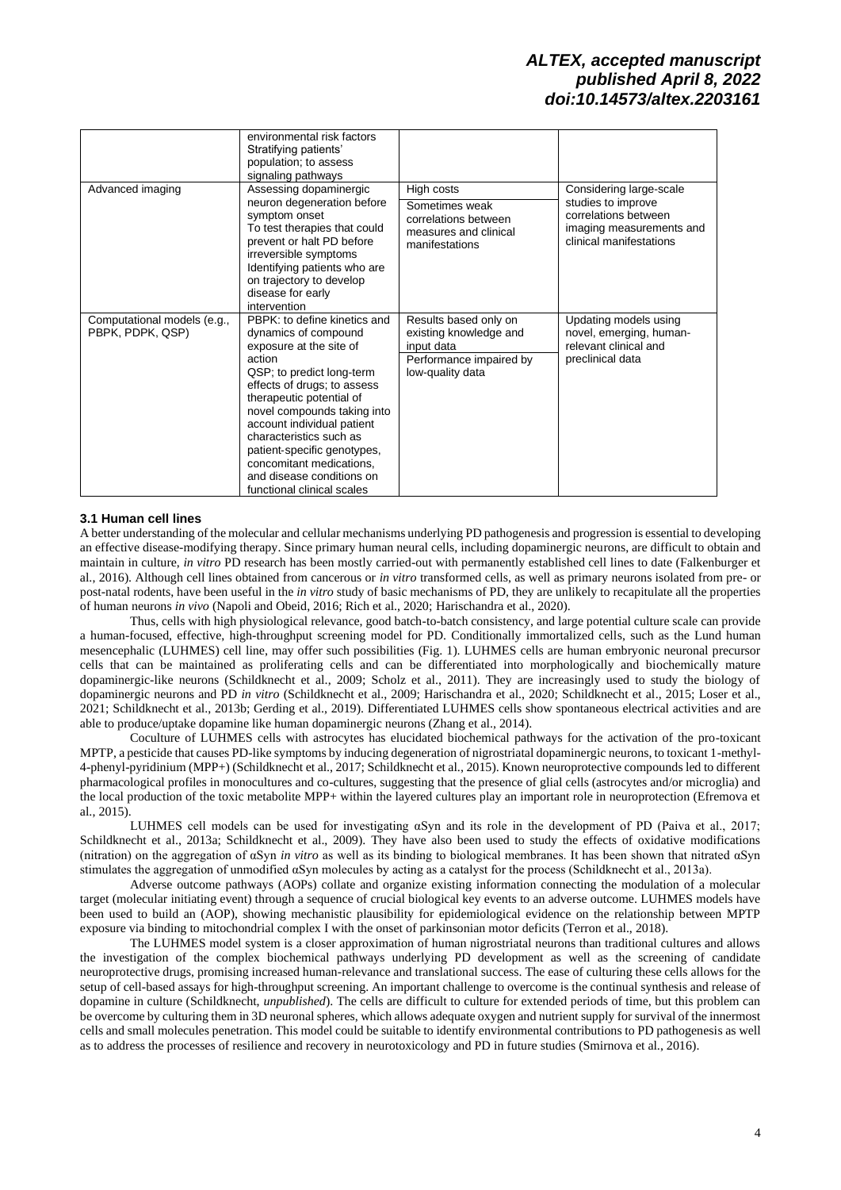|                                                 | environmental risk factors<br>Stratifying patients'<br>population; to assess<br>signaling pathways                                                                                                                                                                                                                                                                                              |                                                                                                              |                                                                                                                              |
|-------------------------------------------------|-------------------------------------------------------------------------------------------------------------------------------------------------------------------------------------------------------------------------------------------------------------------------------------------------------------------------------------------------------------------------------------------------|--------------------------------------------------------------------------------------------------------------|------------------------------------------------------------------------------------------------------------------------------|
| Advanced imaging                                | Assessing dopaminergic<br>neuron degeneration before<br>symptom onset<br>To test therapies that could<br>prevent or halt PD before<br>irreversible symptoms<br>Identifying patients who are<br>on trajectory to develop<br>disease for early<br>intervention                                                                                                                                    | High costs<br>Sometimes weak<br>correlations between<br>measures and clinical<br>manifestations              | Considering large-scale<br>studies to improve<br>correlations between<br>imaging measurements and<br>clinical manifestations |
| Computational models (e.g.,<br>PBPK, PDPK, QSP) | PBPK: to define kinetics and<br>dynamics of compound<br>exposure at the site of<br>action<br>QSP; to predict long-term<br>effects of drugs; to assess<br>therapeutic potential of<br>novel compounds taking into<br>account individual patient<br>characteristics such as<br>patient-specific genotypes,<br>concomitant medications,<br>and disease conditions on<br>functional clinical scales | Results based only on<br>existing knowledge and<br>input data<br>Performance impaired by<br>low-quality data | Updating models using<br>novel, emerging, human-<br>relevant clinical and<br>preclinical data                                |

### **3.1 Human cell lines**

A better understanding of the molecular and cellular mechanisms underlying PD pathogenesis and progression is essential to developing an effective disease-modifying therapy. Since primary human neural cells, including dopaminergic neurons, are difficult to obtain and maintain in culture, *in vitro* PD research has been mostly carried-out with permanently established cell lines to date (Falkenburger et al., 2016). Although cell lines obtained from cancerous or *in vitro* transformed cells, as well as primary neurons isolated from pre- or post-natal rodents, have been useful in the *in vitro* study of basic mechanisms of PD, they are unlikely to recapitulate all the properties of human neurons *in vivo* (Napoli and Obeid, 2016; Rich et al., 2020; Harischandra et al., 2020).

Thus, cells with high physiological relevance, good batch-to-batch consistency, and large potential culture scale can provide a human-focused, effective, high-throughput screening model for PD. Conditionally immortalized cells, such as the Lund human mesencephalic (LUHMES) cell line, may offer such possibilities (Fig. 1). LUHMES cells are human embryonic neuronal precursor cells that can be maintained as proliferating cells and can be differentiated into morphologically and biochemically mature dopaminergic-like neurons (Schildknecht et al., 2009; Scholz et al., 2011). They are increasingly used to study the biology of dopaminergic neurons and PD *in vitro* (Schildknecht et al., 2009; Harischandra et al., 2020; Schildknecht et al., 2015; Loser et al., 2021; Schildknecht et al., 2013b; Gerding et al., 2019). Differentiated LUHMES cells show spontaneous electrical activities and are able to produce/uptake dopamine like human dopaminergic neurons (Zhang et al., 2014).

Coculture of LUHMES cells with astrocytes has elucidated biochemical pathways for the activation of the pro-toxicant MPTP, a pesticide that causes PD-like symptoms by inducing degeneration of nigrostriatal dopaminergic neurons, to toxicant 1-methyl-4-phenyl-pyridinium (MPP+) (Schildknecht et al., 2017; Schildknecht et al., 2015). Known neuroprotective compounds led to different pharmacological profiles in monocultures and co-cultures, suggesting that the presence of glial cells (astrocytes and/or microglia) and the local production of the toxic metabolite MPP+ within the layered cultures play an important role in neuroprotection (Efremova et al., 2015).

LUHMES cell models can be used for investigating αSyn and its role in the development of PD (Paiva et al., 2017; Schildknecht et al., 2013a; Schildknecht et al., 2009). They have also been used to study the effects of oxidative modifications (nitration) on the aggregation of αSyn *in vitro* as well as its binding to biological membranes. It has been shown that nitrated αSyn stimulates the aggregation of unmodified αSyn molecules by acting as a catalyst for the process (Schildknecht et al., 2013a).

Adverse outcome pathways (AOPs) collate and organize existing information connecting the modulation of a molecular target (molecular initiating event) through a sequence of crucial biological key events to an adverse outcome. LUHMES models have been used to build an (AOP), showing mechanistic plausibility for epidemiological evidence on the relationship between MPTP exposure via binding to mitochondrial complex I with the onset of parkinsonian motor deficits (Terron et al., 2018).

The LUHMES model system is a closer approximation of human nigrostriatal neurons than traditional cultures and allows the investigation of the complex biochemical pathways underlying PD development as well as the screening of candidate neuroprotective drugs, promising increased human-relevance and translational success. The ease of culturing these cells allows for the setup of cell-based assays for high-throughput screening. An important challenge to overcome is the continual synthesis and release of dopamine in culture (Schildknecht, *unpublished*). The cells are difficult to culture for extended periods of time, but this problem can be overcome by culturing them in 3D neuronal spheres, which allows adequate oxygen and nutrient supply for survival of the innermost cells and small molecules penetration. This model could be suitable to identify environmental contributions to PD pathogenesis as well as to address the processes of resilience and recovery in neurotoxicology and PD in future studies (Smirnova et al., 2016).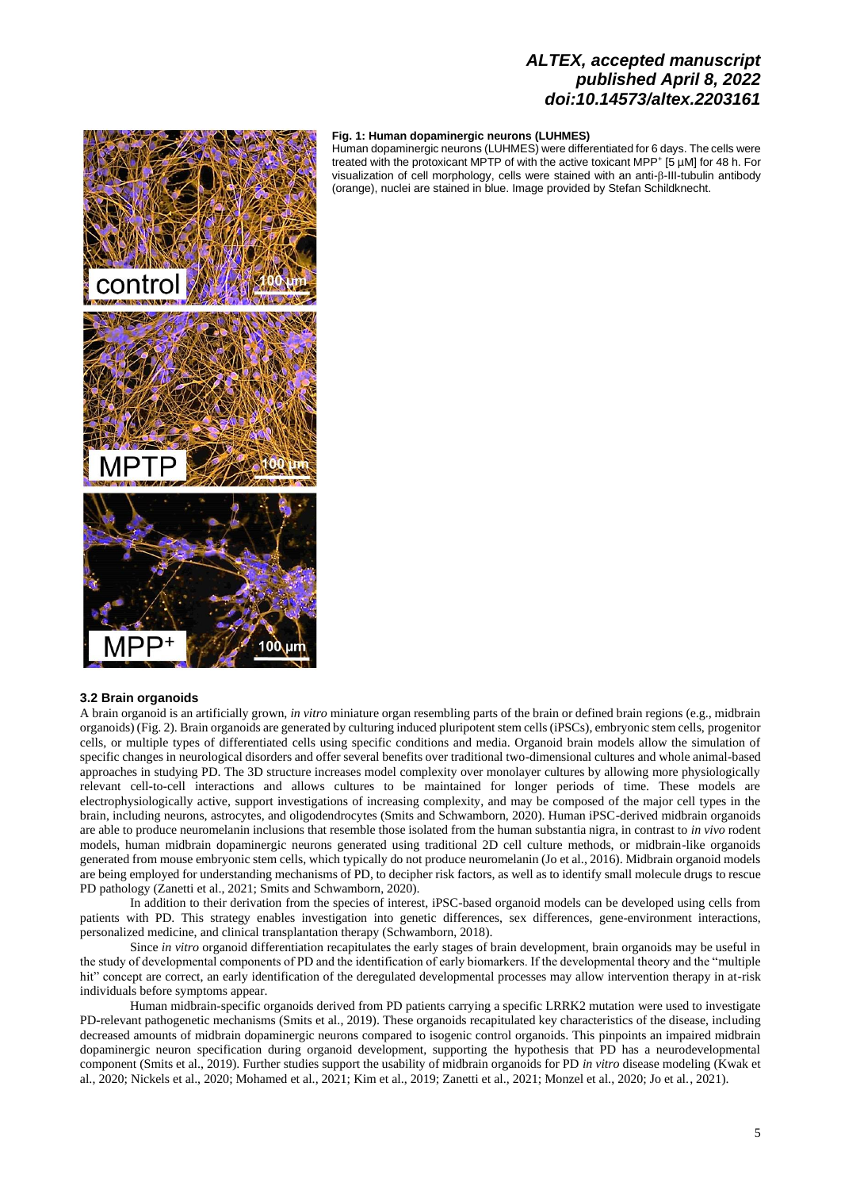### **Fig. 1: Human dopaminergic neurons (LUHMES)**

Human dopaminergic neurons (LUHMES) were differentiated for 6 days. The cells were treated with the protoxicant MPTP of with the active toxicant MPP<sup>+</sup> [5 µM] for 48 h. For visualization of cell morphology, cells were stained with an anti- $\beta$ -III-tubulin antibody (orange), nuclei are stained in blue. Image provided by Stefan Schildknecht.



## **3.2 Brain organoids**

A brain organoid is an artificially grown, *in vitro* miniature organ resembling parts of the brain or defined brain regions (e.g., midbrain organoids) (Fig. 2). Brain organoids are generated by culturing induced pluripotent stem cells (iPSCs), embryonic stem cells, progenitor cells, or multiple types of differentiated cells using specific conditions and media. Organoid brain models allow the simulation of specific changes in neurological disorders and offer several benefits over traditional two-dimensional cultures and whole animal-based approaches in studying PD. The 3D structure increases model complexity over monolayer cultures by allowing more physiologically relevant cell-to-cell interactions and allows cultures to be maintained for longer periods of time. These models are electrophysiologically active, support investigations of increasing complexity, and may be composed of the major cell types in the brain, including neurons, astrocytes, and oligodendrocytes (Smits and Schwamborn, 2020). Human iPSC-derived midbrain organoids are able to produce neuromelanin inclusions that resemble those isolated from the human substantia nigra, in contrast to *in vivo* rodent models, human midbrain dopaminergic neurons generated using traditional 2D cell culture methods, or midbrain-like organoids generated from mouse embryonic stem cells, which typically do not produce neuromelanin (Jo et al., 2016). Midbrain organoid models are being employed for understanding mechanisms of PD, to decipher risk factors, as well as to identify small molecule drugs to rescue PD pathology (Zanetti et al., 2021; Smits and Schwamborn, 2020).

In addition to their derivation from the species of interest, iPSC-based organoid models can be developed using cells from patients with PD. This strategy enables investigation into genetic differences, sex differences, gene-environment interactions, personalized medicine, and clinical transplantation therapy (Schwamborn, 2018).

Since *in vitro* organoid differentiation recapitulates the early stages of brain development, brain organoids may be useful in the study of developmental components of PD and the identification of early biomarkers. If the developmental theory and the "multiple hit" concept are correct, an early identification of the deregulated developmental processes may allow intervention therapy in at-risk individuals before symptoms appear.

Human midbrain-specific organoids derived from PD patients carrying a specific LRRK2 mutation were used to investigate PD-relevant pathogenetic mechanisms (Smits et al., 2019). These organoids recapitulated key characteristics of the disease, including decreased amounts of midbrain dopaminergic neurons compared to isogenic control organoids. This pinpoints an impaired midbrain dopaminergic neuron specification during organoid development, supporting the hypothesis that PD has a neurodevelopmental component (Smits et al., 2019). Further studies support the usability of midbrain organoids for PD *in vitro* disease modeling (Kwak et al., 2020; Nickels et al., 2020; Mohamed et al., 2021; Kim et al., 2019; Zanetti et al., 2021; Monzel et al., 2020; Jo et al., 2021).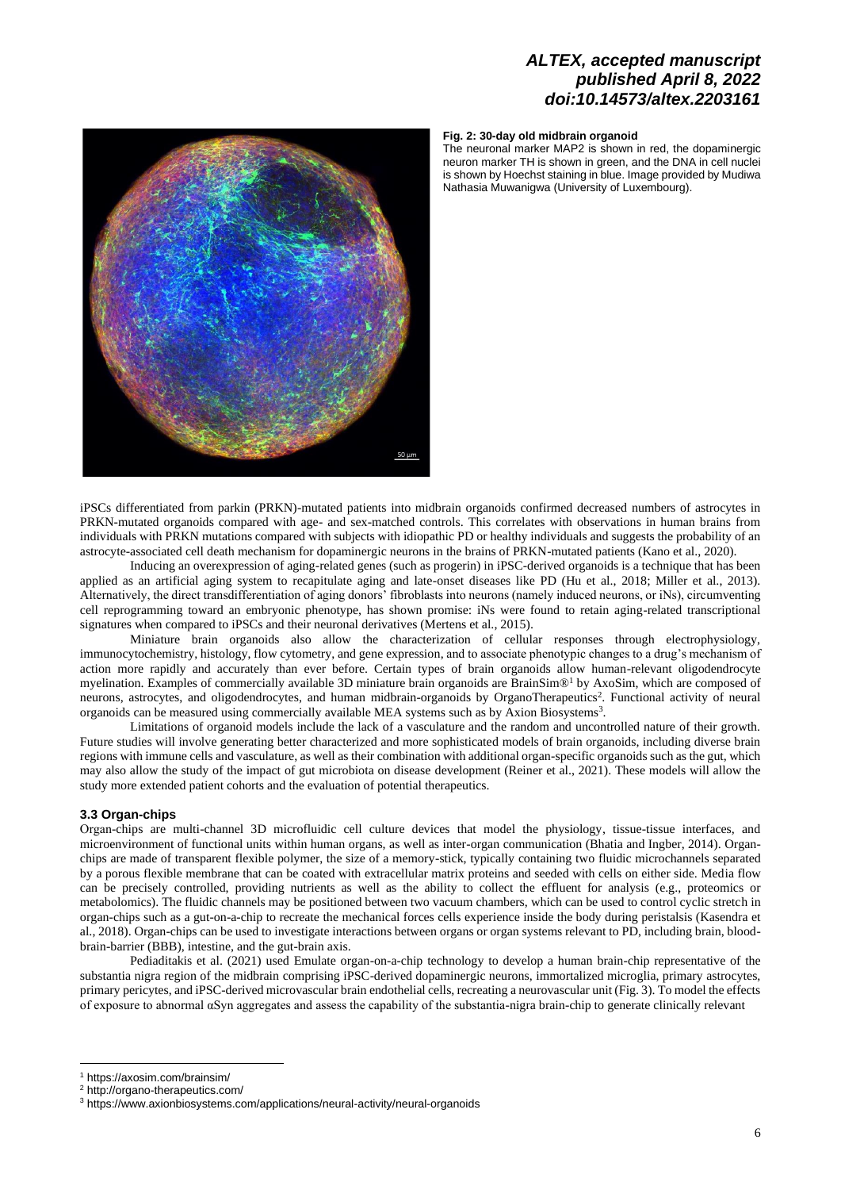

### **Fig. 2: 30-day old midbrain organoid**

The neuronal marker MAP2 is shown in red, the dopaminergic neuron marker TH is shown in green, and the DNA in cell nuclei is shown by Hoechst staining in blue. Image provided by Mudiwa Nathasia Muwanigwa (University of Luxembourg).

iPSCs differentiated from parkin (PRKN)-mutated patients into midbrain organoids confirmed decreased numbers of astrocytes in PRKN-mutated organoids compared with age- and sex-matched controls. This correlates with observations in human brains from individuals with PRKN mutations compared with subjects with idiopathic PD or healthy individuals and suggests the probability of an astrocyte-associated cell death mechanism for dopaminergic neurons in the brains of PRKN-mutated patients (Kano et al., 2020).

Inducing an overexpression of aging-related genes (such as progerin) in iPSC-derived organoids is a technique that has been applied as an artificial aging system to recapitulate aging and late-onset diseases like PD (Hu et al., 2018; Miller et al., 2013). Alternatively, the direct transdifferentiation of aging donors' fibroblasts into neurons (namely induced neurons, or iNs), circumventing cell reprogramming toward an embryonic phenotype, has shown promise: iNs were found to retain aging-related transcriptional signatures when compared to iPSCs and their neuronal derivatives (Mertens et al., 2015).

Miniature brain organoids also allow the characterization of cellular responses through electrophysiology, immunocytochemistry, histology, flow cytometry, and gene expression, and to associate phenotypic changes to a drug's mechanism of action more rapidly and accurately than ever before. Certain types of brain organoids allow human-relevant oligodendrocyte myelination. Examples of commercially available 3D miniature brain organoids are BrainSim®<sup>1</sup> by AxoSim, which are composed of neurons, astrocytes, and oligodendrocytes, and human midbrain-organoids by OrganoTherapeutics<sup>2</sup>. Functional activity of neural organoids can be measured using commercially available MEA systems such as by Axion Biosystems<sup>3</sup>.

Limitations of organoid models include the lack of a vasculature and the random and uncontrolled nature of their growth. Future studies will involve generating better characterized and more sophisticated models of brain organoids, including diverse brain regions with immune cells and vasculature, as well as their combination with additional organ-specific organoids such as the gut, which may also allow the study of the impact of gut microbiota on disease development (Reiner et al., 2021). These models will allow the study more extended patient cohorts and the evaluation of potential therapeutics.

#### **3.3 Organ-chips**

Οrgan-chips are multi-channel 3D microfluidic cell culture devices that model the physiology, tissue-tissue interfaces, and microenvironment of functional units within human organs, as well as inter-organ communication (Bhatia and Ingber, 2014). Organchips are made of transparent flexible polymer, the size of a memory-stick, typically containing two fluidic microchannels separated by a porous flexible membrane that can be coated with extracellular matrix proteins and seeded with cells on either side. Media flow can be precisely controlled, providing nutrients as well as the ability to collect the effluent for analysis (e.g., proteomics or metabolomics). The fluidic channels may be positioned between two vacuum chambers, which can be used to control cyclic stretch in organ-chips such as a gut-on-a-chip to recreate the mechanical forces cells experience inside the body during peristalsis (Kasendra et al., 2018). Organ-chips can be used to investigate interactions between organs or organ systems relevant to PD, including brain, bloodbrain-barrier (BBB), intestine, and the gut-brain axis.

Pediaditakis et al. (2021) used Emulate organ-on-a-chip technology to develop a human brain-chip representative of the substantia nigra region of the midbrain comprising iPSC-derived dopaminergic neurons, immortalized microglia, primary astrocytes, primary pericytes, and iPSC-derived microvascular brain endothelial cells, recreating a neurovascular unit (Fig. 3). To model the effects of exposure to abnormal αSyn aggregates and assess the capability of the substantia-nigra brain-chip to generate clinically relevant

<sup>1</sup> <https://axosim.com/brainsim/>

<sup>2</sup> <http://organo-therapeutics.com/>

<sup>3</sup> <https://www.axionbiosystems.com/applications/neural-activity/neural-organoids>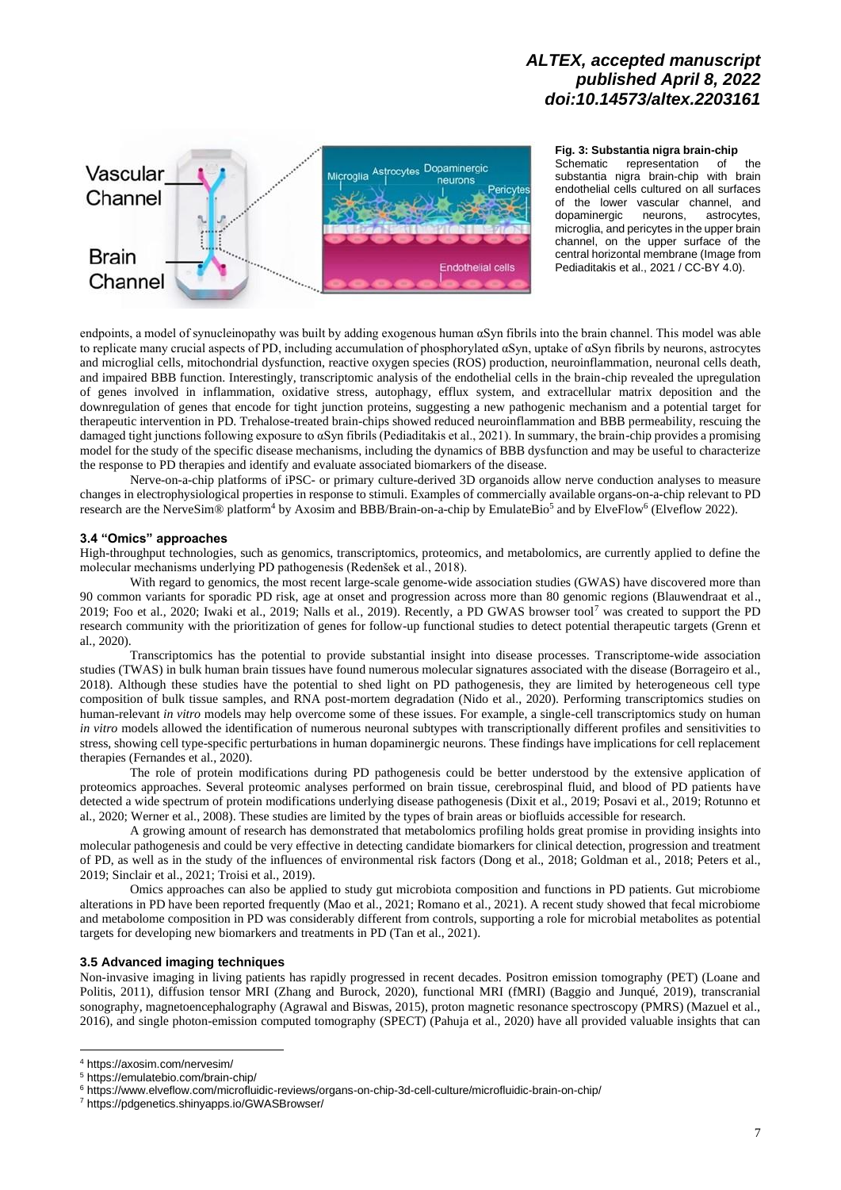

**Fig. 3: Substantia nigra brain-chip**

Schematic representation of the substantia nigra brain-chip with brain endothelial cells cultured on all surfaces of the lower vascular channel, and<br>dopaminergic neurons astrocytes dopaminergic microglia, and pericytes in the upper brain channel, on the upper surface of the central horizontal membrane (Image from Pediaditakis et al., 2021 / CC-BY 4.0).

endpoints, a model of synucleinopathy was built by adding exogenous human αSyn fibrils into the brain channel. This model was able to replicate many crucial aspects of PD, including accumulation of phosphorylated αSyn, uptake of αSyn fibrils by neurons, astrocytes and microglial cells, mitochondrial dysfunction, reactive oxygen species (ROS) production, neuroinflammation, neuronal cells death, and impaired BBB function. Interestingly, transcriptomic analysis of the endothelial cells in the brain-chip revealed the upregulation of genes involved in inflammation, oxidative stress, autophagy, efflux system, and extracellular matrix deposition and the downregulation of genes that encode for tight junction proteins, suggesting a new pathogenic mechanism and a potential target for therapeutic intervention in PD. Trehalose-treated brain-chips showed reduced neuroinflammation and BBB permeability, rescuing the damaged tight junctions following exposure to αSyn fibrils (Pediaditakis et al., 2021). In summary, the brain-chip provides a promising model for the study of the specific disease mechanisms, including the dynamics of BBB dysfunction and may be useful to characterize the response to PD therapies and identify and evaluate associated biomarkers of the disease.

Nerve-on-a-chip platforms of iPSC- or primary culture-derived 3D organoids allow nerve conduction analyses to measure changes in electrophysiological properties in response to stimuli. Examples of commercially available organs-on-a-chip relevant to PD research are the NerveSim® platform<sup>4</sup> by Axosim and BBB/Brain-on-a-chip by EmulateBio<sup>5</sup> and by ElveFlow<sup>6</sup> (Elveflow 2022).

### **3.4 "Omics" approaches**

High-throughput technologies, such as genomics, transcriptomics, proteomics, and metabolomics, are currently applied to define the molecular mechanisms underlying PD pathogenesis (Redenšek et al., 2018).

With regard to genomics, the most recent large-scale genome-wide association studies (GWAS) have discovered more than 90 common variants for sporadic PD risk, age at onset and progression across more than 80 genomic regions (Blauwendraat et al., 2019; Foo et al., 2020; Iwaki et al., 2019; Nalls et al., 2019). Recently, a PD GWAS browser tool<sup>7</sup> was created to support the PD research community with the prioritization of genes for follow-up functional studies to detect potential therapeutic targets (Grenn et al., 2020).

Transcriptomics has the potential to provide substantial insight into disease processes. Transcriptome-wide association studies (TWAS) in bulk human brain tissues have found numerous molecular signatures associated with the disease (Borrageiro et al., 2018). Although these studies have the potential to shed light on PD pathogenesis, they are limited by heterogeneous cell type composition of bulk tissue samples, and RNA post-mortem degradation (Nido et al., 2020). Performing transcriptomics studies on human-relevant *in vitro* models may help overcome some of these issues. For example, a single-cell transcriptomics study on human *in vitro* models allowed the identification of numerous neuronal subtypes with transcriptionally different profiles and sensitivities to stress, showing cell type-specific perturbations in human dopaminergic neurons. These findings have implications for cell replacement therapies (Fernandes et al., 2020).

The role of protein modifications during PD pathogenesis could be better understood by the extensive application of proteomics approaches. Several proteomic analyses performed on brain tissue, cerebrospinal fluid, and blood of PD patients have detected a wide spectrum of protein modifications underlying disease pathogenesis (Dixit et al., 2019; Posavi et al., 2019; Rotunno et al., 2020; Werner et al., 2008). These studies are limited by the types of brain areas or biofluids accessible for research.

A growing amount of research has demonstrated that metabolomics profiling holds great promise in providing insights into molecular pathogenesis and could be very effective in detecting candidate biomarkers for clinical detection, progression and treatment of PD, as well as in the study of the influences of environmental risk factors (Dong et al., 2018; Goldman et al., 2018; Peters et al., 2019; Sinclair et al., 2021; Troisi et al., 2019).

Omics approaches can also be applied to study gut microbiota composition and functions in PD patients. Gut microbiome alterations in PD have been reported frequently (Mao et al., 2021; Romano et al., 2021). A recent study showed that fecal microbiome and metabolome composition in PD was considerably different from controls, supporting a role for microbial metabolites as potential targets for developing new biomarkers and treatments in PD (Tan et al., 2021).

#### **3.5 Advanced imaging techniques**

Non-invasive imaging in living patients has rapidly progressed in recent decades. Positron emission tomography (PET) (Loane and Politis, 2011), diffusion tensor MRI (Zhang and Burock, 2020), functional MRI (fMRI) (Baggio and Junqué, 2019), transcranial sonography, magnetoencephalography (Agrawal and Biswas, 2015), proton magnetic resonance spectroscopy (PMRS) (Mazuel et al., 2016), and single photon-emission computed tomography (SPECT) (Pahuja et al., 2020) have all provided valuable insights that can

<sup>4</sup> <https://axosim.com/nervesim/>

<sup>5</sup> <https://emulatebio.com/brain-chip/>

<sup>6</sup> <https://www.elveflow.com/microfluidic-reviews/organs-on-chip-3d-cell-culture/microfluidic-brain-on-chip/>

<sup>7</sup> <https://pdgenetics.shinyapps.io/GWASBrowser/>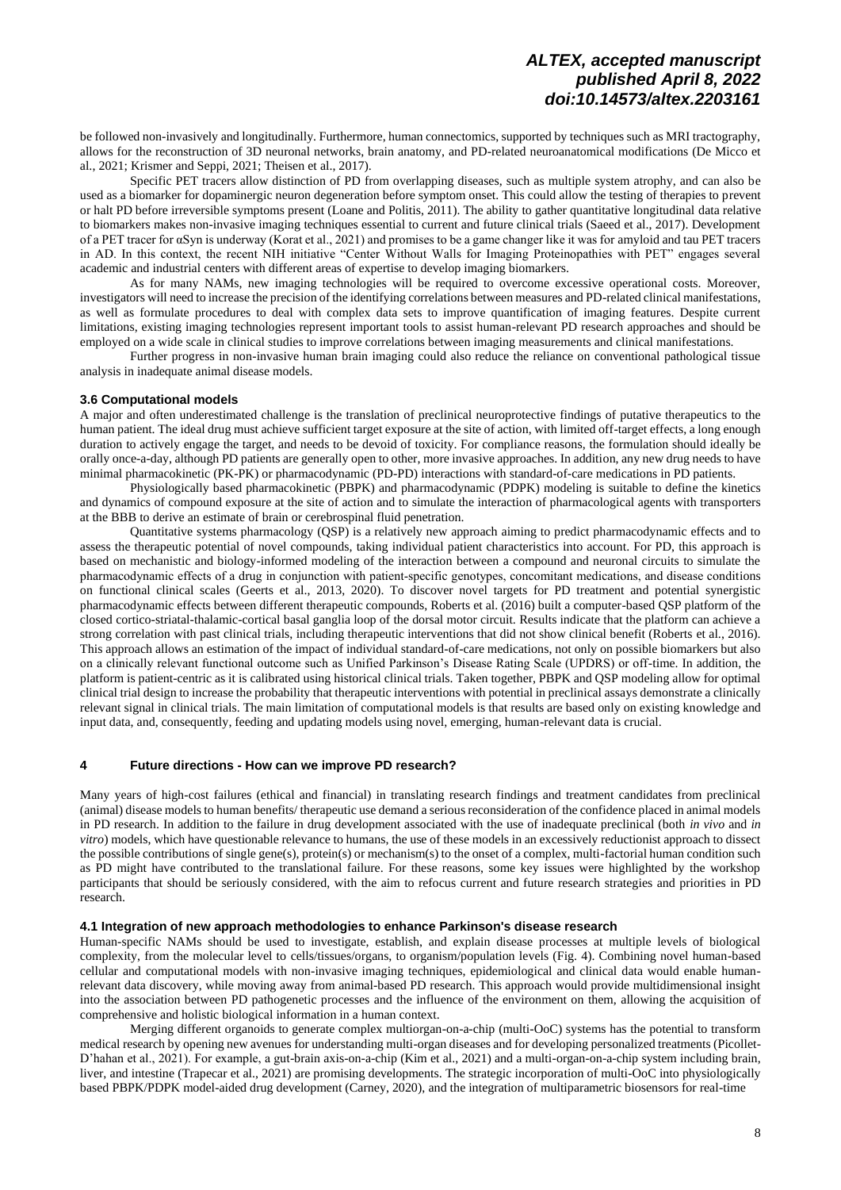be followed non-invasively and longitudinally. Furthermore, human connectomics, supported by techniques such as MRI tractography, allows for the reconstruction of 3D neuronal networks, brain anatomy, and PD-related neuroanatomical modifications (De Micco et al., 2021; Krismer and Seppi, 2021; Theisen et al., 2017).

Specific PET tracers allow distinction of PD from overlapping diseases, such as multiple system atrophy, and can also be used as a biomarker for dopaminergic neuron degeneration before symptom onset. This could allow the testing of therapies to prevent or halt PD before irreversible symptoms present (Loane and Politis, 2011). The ability to gather quantitative longitudinal data relative to biomarkers makes non-invasive imaging techniques essential to current and future clinical trials (Saeed et al., 2017). Development of a PET tracer for αSyn is underway (Korat et al., 2021) and promises to be a game changer like it was for amyloid and tau PET tracers in AD. In this context, the recent NIH initiative "Center Without Walls for Imaging Proteinopathies with PET" engages several academic and industrial centers with different areas of expertise to develop imaging biomarkers.

As for many NAMs, new imaging technologies will be required to overcome excessive operational costs. Moreover, investigators will need to increase the precision of the identifying correlations between measures and PD-related clinical manifestations, as well as formulate procedures to deal with complex data sets to improve quantification of imaging features. Despite current limitations, existing imaging technologies represent important tools to assist human-relevant PD research approaches and should be employed on a wide scale in clinical studies to improve correlations between imaging measurements and clinical manifestations.

Further progress in non-invasive human brain imaging could also reduce the reliance on conventional pathological tissue analysis in inadequate animal disease models.

#### **3.6 Computational models**

A major and often underestimated challenge is the translation of preclinical neuroprotective findings of putative therapeutics to the human patient. The ideal drug must achieve sufficient target exposure at the site of action, with limited off-target effects, a long enough duration to actively engage the target, and needs to be devoid of toxicity. For compliance reasons, the formulation should ideally be orally once-a-day, although PD patients are generally open to other, more invasive approaches. In addition, any new drug needs to have minimal pharmacokinetic (PK-PK) or pharmacodynamic (PD-PD) interactions with standard-of-care medications in PD patients.

Physiologically based pharmacokinetic (PBPK) and pharmacodynamic (PDPK) modeling is suitable to define the kinetics and dynamics of compound exposure at the site of action and to simulate the interaction of pharmacological agents with transporters at the BBB to derive an estimate of brain or cerebrospinal fluid penetration.

Quantitative systems pharmacology (QSP) is a relatively new approach aiming to predict pharmacodynamic effects and to assess the therapeutic potential of novel compounds, taking individual patient characteristics into account. For PD, this approach is based on mechanistic and biology-informed modeling of the interaction between a compound and neuronal circuits to simulate the pharmacodynamic effects of a drug in conjunction with patient‐specific genotypes, concomitant medications, and disease conditions on functional clinical scales (Geerts et al., 2013, 2020). To discover novel targets for PD treatment and potential synergistic pharmacodynamic effects between different therapeutic compounds, Roberts et al. (2016) built a computer-based QSP platform of the closed cortico-striatal-thalamic-cortical basal ganglia loop of the dorsal motor circuit. Results indicate that the platform can achieve a strong correlation with past clinical trials, including therapeutic interventions that did not show clinical benefit (Roberts et al., 2016). This approach allows an estimation of the impact of individual standard-of-care medications, not only on possible biomarkers but also on a clinically relevant functional outcome such as Unified Parkinson's Disease Rating Scale (UPDRS) or off-time. In addition, the platform is patient-centric as it is calibrated using historical clinical trials. Taken together, PBPK and QSP modeling allow for optimal clinical trial design to increase the probability that therapeutic interventions with potential in preclinical assays demonstrate a clinically relevant signal in clinical trials. The main limitation of computational models is that results are based only on existing knowledge and input data, and, consequently, feeding and updating models using novel, emerging, human-relevant data is crucial.

### **4 Future directions - How can we improve PD research?**

Many years of high-cost failures (ethical and financial) in translating research findings and treatment candidates from preclinical (animal) disease models to human benefits/ therapeutic use demand a serious reconsideration of the confidence placed in animal models in PD research. In addition to the failure in drug development associated with the use of inadequate preclinical (both *in vivo* and *in vitro*) models, which have questionable relevance to humans, the use of these models in an excessively reductionist approach to dissect the possible contributions of single gene(s), protein(s) or mechanism(s) to the onset of a complex, multi-factorial human condition such as PD might have contributed to the translational failure. For these reasons, some key issues were highlighted by the workshop participants that should be seriously considered, with the aim to refocus current and future research strategies and priorities in PD research.

#### **4.1 Integration of new approach methodologies to enhance Parkinson's disease research**

Human-specific NAMs should be used to investigate, establish, and explain disease processes at multiple levels of biological complexity, from the molecular level to cells/tissues/organs, to organism/population levels (Fig. 4). Combining novel human-based cellular and computational models with non-invasive imaging techniques, epidemiological and clinical data would enable humanrelevant data discovery, while moving away from animal-based PD research. This approach would provide multidimensional insight into the association between PD pathogenetic processes and the influence of the environment on them, allowing the acquisition of comprehensive and holistic biological information in a human context.

Merging different organoids to generate complex multiorgan-on-a-chip (multi-OoC) systems has the potential to transform medical research by opening new avenues for understanding multi-organ diseases and for developing personalized treatments (Picollet-D'hahan et al., 2021). For example, a gut-brain axis-on-a-chip (Kim et al., 2021) and a multi-organ-on-a-chip system including brain, liver, and intestine (Trapecar et al., 2021) are promising developments. The strategic incorporation of multi-OoC into physiologically based PBPK/PDPK model-aided drug development (Carney, 2020), and the integration of multiparametric biosensors for real-time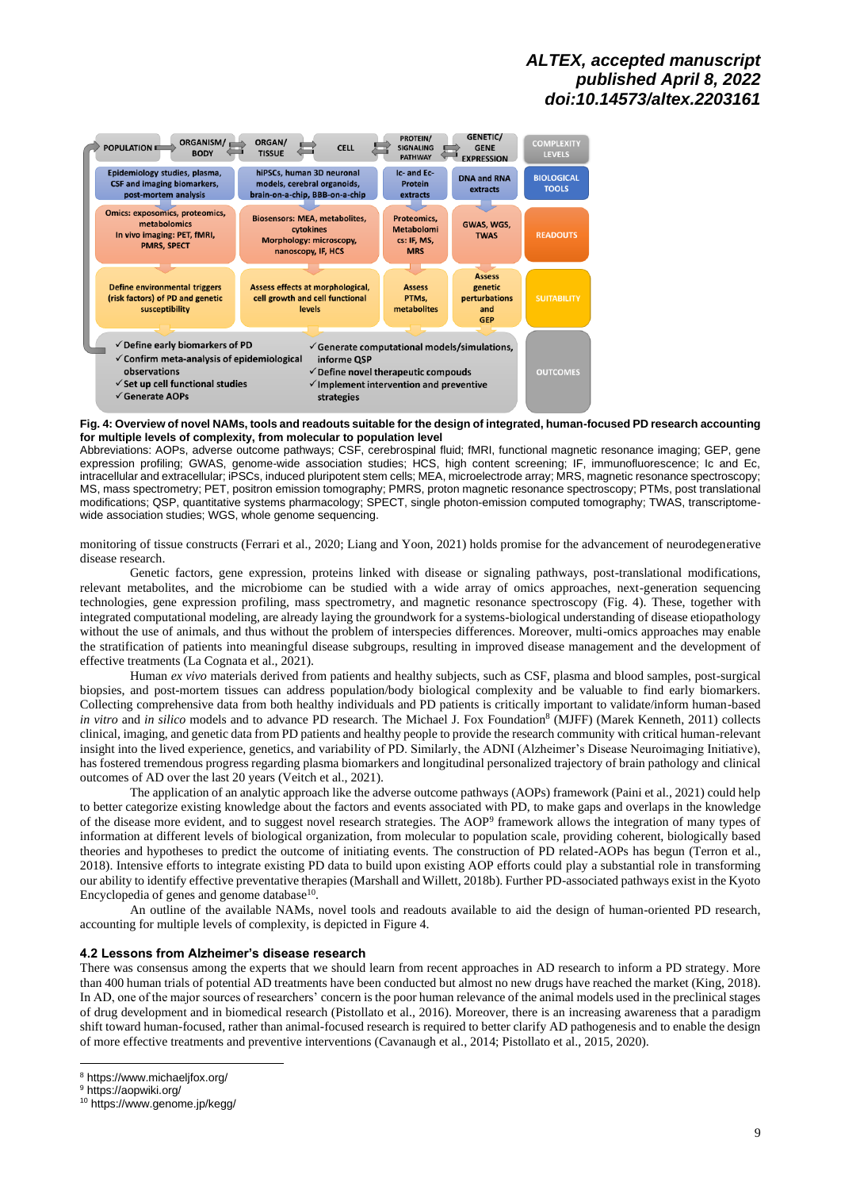

#### **Fig. 4: Overview of novel NAMs, tools and readouts suitable for the design of integrated, human-focused PD research accounting for multiple levels of complexity, from molecular to population level**

Abbreviations: AOPs, adverse outcome pathways; CSF, cerebrospinal fluid; fMRI, functional magnetic resonance imaging; GEP, gene expression profiling; GWAS, genome-wide association studies; HCS, high content screening; IF, immunofluorescence; Ic and Ec, intracellular and extracellular; iPSCs, induced pluripotent stem cells; MEA, microelectrode array; MRS, magnetic resonance spectroscopy; MS, mass spectrometry; PET, positron emission tomography; PMRS, proton magnetic resonance spectroscopy; PTMs, post translational modifications; QSP, quantitative systems pharmacology; SPECT, single photon-emission computed tomography; TWAS, transcriptomewide association studies; WGS, whole genome sequencing.

monitoring of tissue constructs (Ferrari et al., 2020; Liang and Yoon, 2021) holds promise for the advancement of neurodegenerative disease research.

Genetic factors, gene expression, proteins linked with disease or signaling pathways, post-translational modifications, relevant metabolites, and the microbiome can be studied with a wide array of omics approaches, next-generation sequencing technologies, gene expression profiling, mass spectrometry, and magnetic resonance spectroscopy (Fig. 4). These, together with integrated computational modeling, are already laying the groundwork for a systems-biological understanding of disease etiopathology without the use of animals, and thus without the problem of interspecies differences. Moreover, multi-omics approaches may enable the stratification of patients into meaningful disease subgroups, resulting in improved disease management and the development of effective treatments (La Cognata et al., 2021).

Human *ex vivo* materials derived from patients and healthy subjects, such as CSF, plasma and blood samples, post-surgical biopsies, and post-mortem tissues can address population/body biological complexity and be valuable to find early biomarkers. Collecting comprehensive data from both healthy individuals and PD patients is critically important to validate/inform human-based *in vitro* and *in silico* models and to advance PD research. The Michael J. Fox Foundation<sup>8</sup> (MJFF) (Marek Kenneth, 2011) collects clinical, imaging, and genetic data from PD patients and healthy people to provide the research community with critical human-relevant insight into the lived experience, genetics, and variability of PD. Similarly, the ADNI (Alzheimer's Disease Neuroimaging Initiative), has fostered tremendous progress regarding plasma biomarkers and longitudinal personalized trajectory of brain pathology and clinical outcomes of AD over the last 20 years (Veitch et al., 2021).

The application of an analytic approach like the adverse outcome pathways (AOPs) framework (Paini et al., 2021) could help to better categorize existing knowledge about the factors and events associated with PD, to make gaps and overlaps in the knowledge of the disease more evident, and to suggest novel research strategies. The AOP<sup>9</sup> framework allows the integration of many types of information at different levels of biological organization, from molecular to population scale, providing coherent, biologically based theories and hypotheses to predict the outcome of initiating events. The construction of PD related-AOPs has begun (Terron et al., 2018). Intensive efforts to integrate existing PD data to build upon existing AOP efforts could play a substantial role in transforming our ability to identify effective preventative therapies (Marshall and Willett, 2018b). Further PD-associated pathways exist in the Kyoto Encyclopedia of genes and genome database<sup>10</sup>.

An outline of the available NAMs, novel tools and readouts available to aid the design of human-oriented PD research, accounting for multiple levels of complexity, is depicted in Figure 4.

#### **4.2 Lessons from Alzheimer's disease research**

There was consensus among the experts that we should learn from recent approaches in AD research to inform a PD strategy. More than 400 human trials of potential AD treatments have been conducted but almost no new drugs have reached the market (King, 2018). In AD, one of the major sources of researchers' concern is the poor human relevance of the animal models used in the preclinical stages of drug development and in biomedical research (Pistollato et al., 2016). Moreover, there is an increasing awareness that a paradigm shift toward human-focused, rather than animal-focused research is required to better clarify AD pathogenesis and to enable the design of more effective treatments and preventive interventions (Cavanaugh et al., 2014; Pistollato et al., 2015, 2020).

<sup>8</sup> <https://www.michaeljfox.org/>

<sup>&</sup>lt;sup>9</sup> <https://aopwiki.org/>

<sup>10</sup> <https://www.genome.jp/kegg/>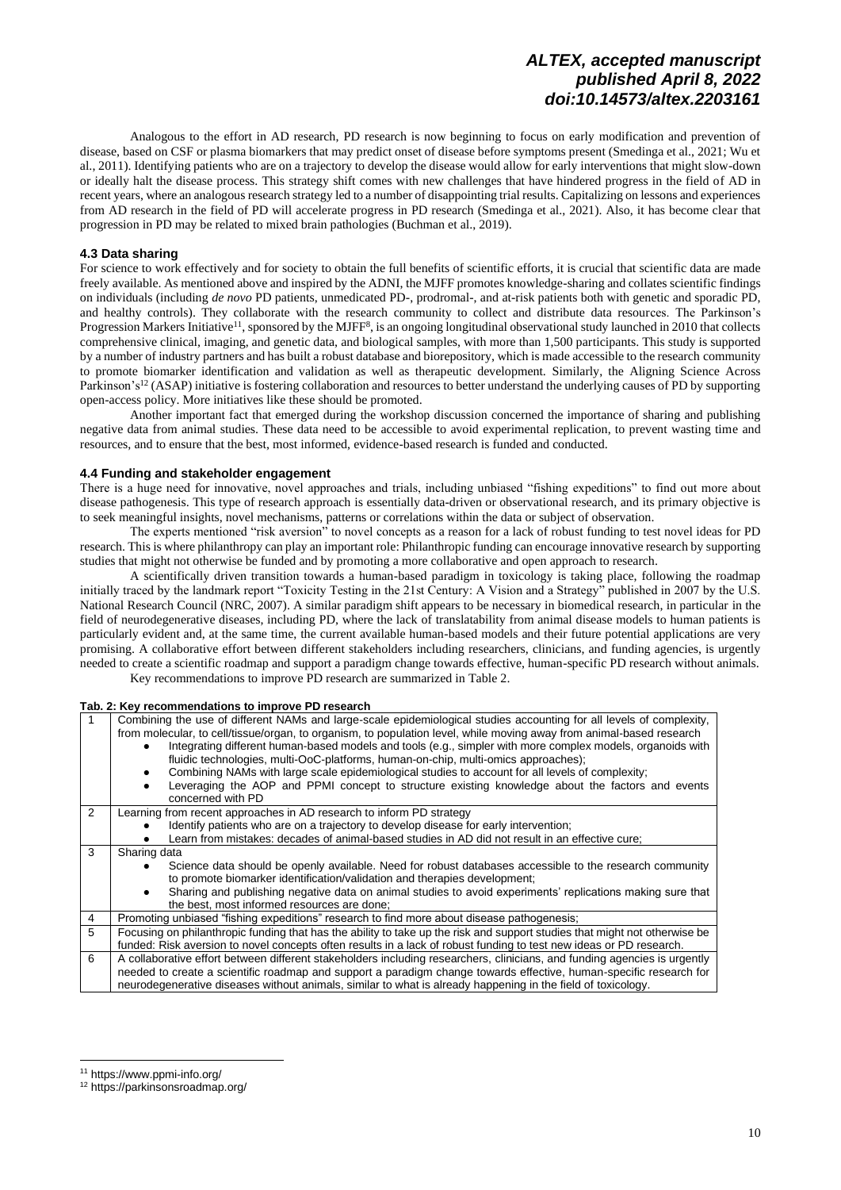Analogous to the effort in AD research, PD research is now beginning to focus on early modification and prevention of disease, based on CSF or plasma biomarkers that may predict onset of disease before symptoms present (Smedinga et al., 2021; Wu et al., 2011). Identifying patients who are on a trajectory to develop the disease would allow for early interventions that might slow-down or ideally halt the disease process. This strategy shift comes with new challenges that have hindered progress in the field of AD in recent years, where an analogous research strategy led to a number of disappointing trial results. Capitalizing on lessons and experiences from AD research in the field of PD will accelerate progress in PD research (Smedinga et al., 2021). Also, it has become clear that progression in PD may be related to mixed brain pathologies (Buchman et al., 2019).

### **4.3 Data sharing**

For science to work effectively and for society to obtain the full benefits of scientific efforts, it is crucial that scientific data are made freely available. As mentioned above and inspired by the ADNI, the MJFF promotes knowledge-sharing and collates scientific findings on individuals (including *de novo* PD patients, unmedicated PD-, prodromal-, and at-risk patients both with genetic and sporadic PD, and healthy controls). They collaborate with the research community to collect and distribute data resources. The Parkinson's Progression Markers Initiative<sup>11</sup>, sponsored by the MJFF<sup>8</sup>, is an ongoing longitudinal observational study launched in 2010 that collects comprehensive clinical, imaging, and genetic data, and biological samples, with more than 1,500 participants. This study is supported by a number of industry partners and has built a robust database and biorepository, which is made accessible to the research community to promote biomarker identification and validation as well as therapeutic development. Similarly, the Aligning Science Across Parkinson's<sup>12</sup> (ASAP) initiative is fostering collaboration and resources to better understand the underlying causes of PD by supporting open-access policy. More initiatives like these should be promoted.

Another important fact that emerged during the workshop discussion concerned the importance of sharing and publishing negative data from animal studies. These data need to be accessible to avoid experimental replication, to prevent wasting time and resources, and to ensure that the best, most informed, evidence-based research is funded and conducted.

### **4.4 Funding and stakeholder engagement**

There is a huge need for innovative, novel approaches and trials, including unbiased "fishing expeditions" to find out more about disease pathogenesis. This type of research approach is essentially data-driven or observational research, and its primary objective is to seek meaningful insights, novel mechanisms, patterns or correlations within the data or subject of observation.

The experts mentioned "risk aversion" to novel concepts as a reason for a lack of robust funding to test novel ideas for PD research. This is where philanthropy can play an important role: Philanthropic funding can encourage innovative research by supporting studies that might not otherwise be funded and by promoting a more collaborative and open approach to research.

A scientifically driven transition towards a human-based paradigm in toxicology is taking place, following the roadmap initially traced by the landmark report "Toxicity Testing in the 21st Century: A Vision and a Strategy" published in 2007 by the U.S. National Research Council (NRC, 2007). A similar paradigm shift appears to be necessary in biomedical research, in particular in the field of neurodegenerative diseases, including PD, where the lack of translatability from animal disease models to human patients is particularly evident and, at the same time, the current available human-based models and their future potential applications are very promising. A collaborative effort between different stakeholders including researchers, clinicians, and funding agencies, is urgently needed to create a scientific roadmap and support a paradigm change towards effective, human-specific PD research without animals. Key recommendations to improve PD research are summarized in Table 2.

#### **Tab. 2: Key recommendations to improve PD research**

|   | Combining the use of different NAMs and large-scale epidemiological studies accounting for all levels of complexity,<br>from molecular, to cell/tissue/organ, to organism, to population level, while moving away from animal-based research<br>Integrating different human-based models and tools (e.g., simpler with more complex models, organoids with<br>fluidic technologies, multi-OoC-platforms, human-on-chip, multi-omics approaches);<br>Combining NAMs with large scale epidemiological studies to account for all levels of complexity;<br>Leveraging the AOP and PPMI concept to structure existing knowledge about the factors and events<br>concerned with PD |  |  |  |
|---|-------------------------------------------------------------------------------------------------------------------------------------------------------------------------------------------------------------------------------------------------------------------------------------------------------------------------------------------------------------------------------------------------------------------------------------------------------------------------------------------------------------------------------------------------------------------------------------------------------------------------------------------------------------------------------|--|--|--|
| 2 | Learning from recent approaches in AD research to inform PD strategy                                                                                                                                                                                                                                                                                                                                                                                                                                                                                                                                                                                                          |  |  |  |
|   | Identify patients who are on a trajectory to develop disease for early intervention;                                                                                                                                                                                                                                                                                                                                                                                                                                                                                                                                                                                          |  |  |  |
|   | Learn from mistakes: decades of animal-based studies in AD did not result in an effective cure;                                                                                                                                                                                                                                                                                                                                                                                                                                                                                                                                                                               |  |  |  |
| 3 | Sharing data                                                                                                                                                                                                                                                                                                                                                                                                                                                                                                                                                                                                                                                                  |  |  |  |
|   | Science data should be openly available. Need for robust databases accessible to the research community<br>to promote biomarker identification/validation and therapies development;                                                                                                                                                                                                                                                                                                                                                                                                                                                                                          |  |  |  |
|   | Sharing and publishing negative data on animal studies to avoid experiments' replications making sure that<br>the best, most informed resources are done;                                                                                                                                                                                                                                                                                                                                                                                                                                                                                                                     |  |  |  |
| 4 | Promoting unbiased "fishing expeditions" research to find more about disease pathogenesis;                                                                                                                                                                                                                                                                                                                                                                                                                                                                                                                                                                                    |  |  |  |
| 5 | Focusing on philanthropic funding that has the ability to take up the risk and support studies that might not otherwise be<br>funded: Risk aversion to novel concepts often results in a lack of robust funding to test new ideas or PD research.                                                                                                                                                                                                                                                                                                                                                                                                                             |  |  |  |
| 6 | A collaborative effort between different stakeholders including researchers, clinicians, and funding agencies is urgently                                                                                                                                                                                                                                                                                                                                                                                                                                                                                                                                                     |  |  |  |
|   | needed to create a scientific roadmap and support a paradigm change towards effective, human-specific research for                                                                                                                                                                                                                                                                                                                                                                                                                                                                                                                                                            |  |  |  |
|   | neurodegenerative diseases without animals, similar to what is already happening in the field of toxicology.                                                                                                                                                                                                                                                                                                                                                                                                                                                                                                                                                                  |  |  |  |

<sup>11</sup> <https://www.ppmi-info.org/>

<sup>12</sup> <https://parkinsonsroadmap.org/>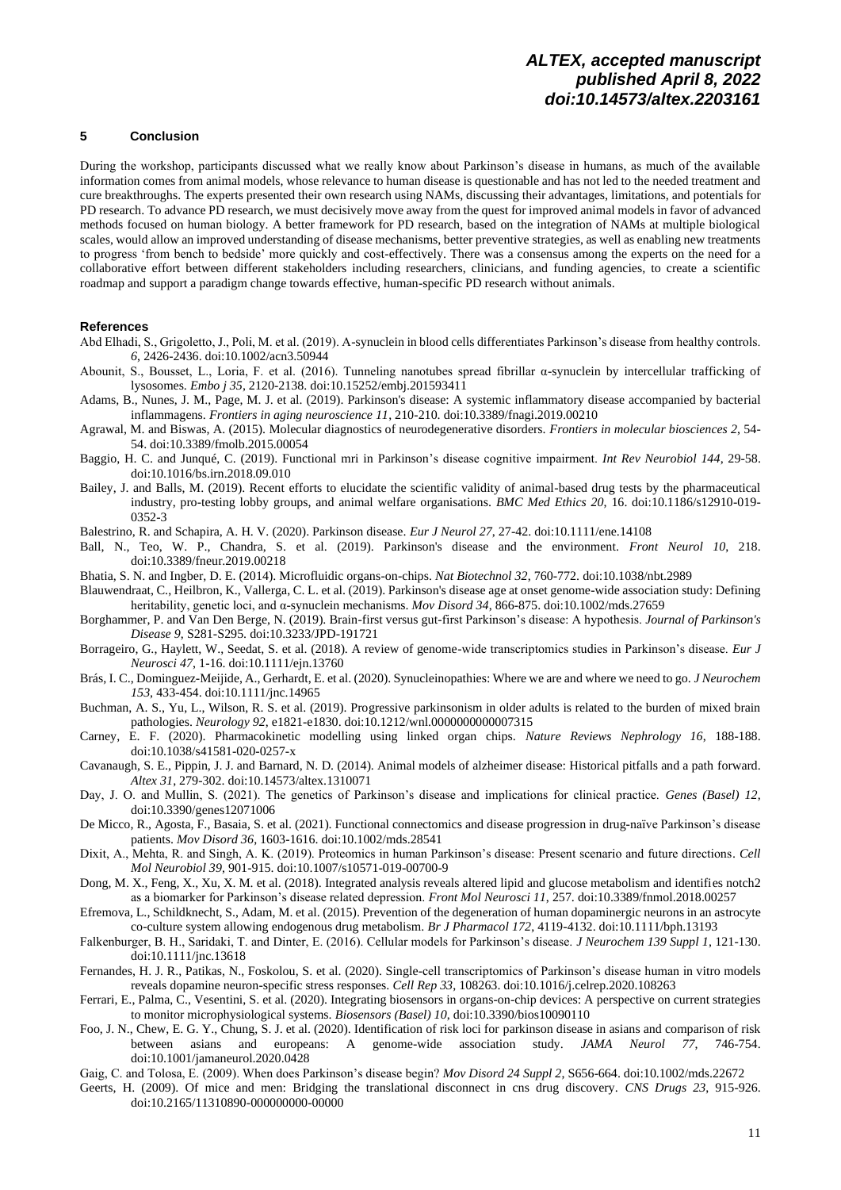## **5 Conclusion**

During the workshop, participants discussed what we really know about Parkinson's disease in humans, as much of the available information comes from animal models, whose relevance to human disease is questionable and has not led to the needed treatment and cure breakthroughs. The experts presented their own research using NAMs, discussing their advantages, limitations, and potentials for PD research. To advance PD research, we must decisively move away from the quest for improved animal models in favor of advanced methods focused on human biology. A better framework for PD research, based on the integration of NAMs at multiple biological scales, would allow an improved understanding of disease mechanisms, better preventive strategies, as well as enabling new treatments to progress 'from bench to bedside' more quickly and cost-effectively. There was a consensus among the experts on the need for a collaborative effort between different stakeholders including researchers, clinicians, and funding agencies, to create a scientific roadmap and support a paradigm change towards effective, human-specific PD research without animals.

#### **References**

- Abd Elhadi, S., Grigoletto, J., Poli, M. et al. (2019). Α-synuclein in blood cells differentiates Parkinson's disease from healthy controls. *6*, 2426-2436. doi:10.1002/acn3.50944
- Abounit, S., Bousset, L., Loria, F. et al. (2016). Tunneling nanotubes spread fibrillar α-synuclein by intercellular trafficking of lysosomes. *Embo j 35*, 2120-2138. doi:10.15252/embj.201593411
- Adams, B., Nunes, J. M., Page, M. J. et al. (2019). Parkinson's disease: A systemic inflammatory disease accompanied by bacterial inflammagens. *Frontiers in aging neuroscience 11*, 210-210. doi:10.3389/fnagi.2019.00210
- Agrawal, M. and Biswas, A. (2015). Molecular diagnostics of neurodegenerative disorders. *Frontiers in molecular biosciences 2*, 54- 54. doi:10.3389/fmolb.2015.00054
- Baggio, H. C. and Junqué, C. (2019). Functional mri in Parkinson's disease cognitive impairment. *Int Rev Neurobiol 144*, 29-58. doi:10.1016/bs.irn.2018.09.010
- Bailey, J. and Balls, M. (2019). Recent efforts to elucidate the scientific validity of animal-based drug tests by the pharmaceutical industry, pro-testing lobby groups, and animal welfare organisations. *BMC Med Ethics 20*, 16. doi:10.1186/s12910-019- 0352-3
- Balestrino, R. and Schapira, A. H. V. (2020). Parkinson disease. *Eur J Neurol 27*, 27-42. doi:10.1111/ene.14108
- Ball, N., Teo, W. P., Chandra, S. et al. (2019). Parkinson's disease and the environment. *Front Neurol 10*, 218. doi:10.3389/fneur.2019.00218
- Bhatia, S. N. and Ingber, D. E. (2014). Microfluidic organs-on-chips. *Nat Biotechnol 32*, 760-772. doi:10.1038/nbt.2989
- Blauwendraat, C., Heilbron, K., Vallerga, C. L. et al. (2019). Parkinson's disease age at onset genome-wide association study: Defining heritability, genetic loci, and α-synuclein mechanisms. *Mov Disord 34*, 866-875. doi:10.1002/mds.27659
- Borghammer, P. and Van Den Berge, N. (2019). Brain-first versus gut-first Parkinson's disease: A hypothesis. *Journal of Parkinson's Disease 9*, S281-S295. doi:10.3233/JPD-191721
- Borrageiro, G., Haylett, W., Seedat, S. et al. (2018). A review of genome-wide transcriptomics studies in Parkinson's disease. *Eur J Neurosci 47*, 1-16. doi:10.1111/ejn.13760
- Brás, I. C., Dominguez-Meijide, A., Gerhardt, E. et al. (2020). Synucleinopathies: Where we are and where we need to go. *J Neurochem 153*, 433-454. doi:10.1111/jnc.14965
- Buchman, A. S., Yu, L., Wilson, R. S. et al. (2019). Progressive parkinsonism in older adults is related to the burden of mixed brain pathologies. *Neurology 92*, e1821-e1830. doi:10.1212/wnl.0000000000007315
- Carney, E. F. (2020). Pharmacokinetic modelling using linked organ chips. *Nature Reviews Nephrology 16*, 188-188. doi:10.1038/s41581-020-0257-x
- Cavanaugh, S. E., Pippin, J. J. and Barnard, N. D. (2014). Animal models of alzheimer disease: Historical pitfalls and a path forward. *Altex 31*, 279-302. doi:10.14573/altex.1310071
- Day, J. O. and Mullin, S. (2021). The genetics of Parkinson's disease and implications for clinical practice. *Genes (Basel) 12*, doi:10.3390/genes12071006
- De Micco, R., Agosta, F., Basaia, S. et al. (2021). Functional connectomics and disease progression in drug-naïve Parkinson's disease patients. *Mov Disord 36*, 1603-1616. doi:10.1002/mds.28541
- Dixit, A., Mehta, R. and Singh, A. K. (2019). Proteomics in human Parkinson's disease: Present scenario and future directions. *Cell Mol Neurobiol 39*, 901-915. doi:10.1007/s10571-019-00700-9
- Dong, M. X., Feng, X., Xu, X. M. et al. (2018). Integrated analysis reveals altered lipid and glucose metabolism and identifies notch2 as a biomarker for Parkinson's disease related depression. *Front Mol Neurosci 11*, 257. doi:10.3389/fnmol.2018.00257
- Efremova, L., Schildknecht, S., Adam, M. et al. (2015). Prevention of the degeneration of human dopaminergic neurons in an astrocyte co-culture system allowing endogenous drug metabolism. *Br J Pharmacol 172*, 4119-4132. doi:10.1111/bph.13193
- Falkenburger, B. H., Saridaki, T. and Dinter, E. (2016). Cellular models for Parkinson's disease. *J Neurochem 139 Suppl 1*, 121-130. doi:10.1111/jnc.13618
- Fernandes, H. J. R., Patikas, N., Foskolou, S. et al. (2020). Single-cell transcriptomics of Parkinson's disease human in vitro models reveals dopamine neuron-specific stress responses. *Cell Rep 33*, 108263. doi:10.1016/j.celrep.2020.108263
- Ferrari, E., Palma, C., Vesentini, S. et al. (2020). Integrating biosensors in organs-on-chip devices: A perspective on current strategies to monitor microphysiological systems. *Biosensors (Basel) 10*, doi:10.3390/bios10090110
- Foo, J. N., Chew, E. G. Y., Chung, S. J. et al. (2020). Identification of risk loci for parkinson disease in asians and comparison of risk between asians and europeans: A genome-wide association study. *JAMA Neurol 77*, 746-754. doi:10.1001/jamaneurol.2020.0428
- Gaig, C. and Tolosa, E. (2009). When does Parkinson's disease begin? *Mov Disord 24 Suppl 2*, S656-664. doi:10.1002/mds.22672
- Geerts, H. (2009). Of mice and men: Bridging the translational disconnect in cns drug discovery. *CNS Drugs 23*, 915-926. doi:10.2165/11310890-000000000-00000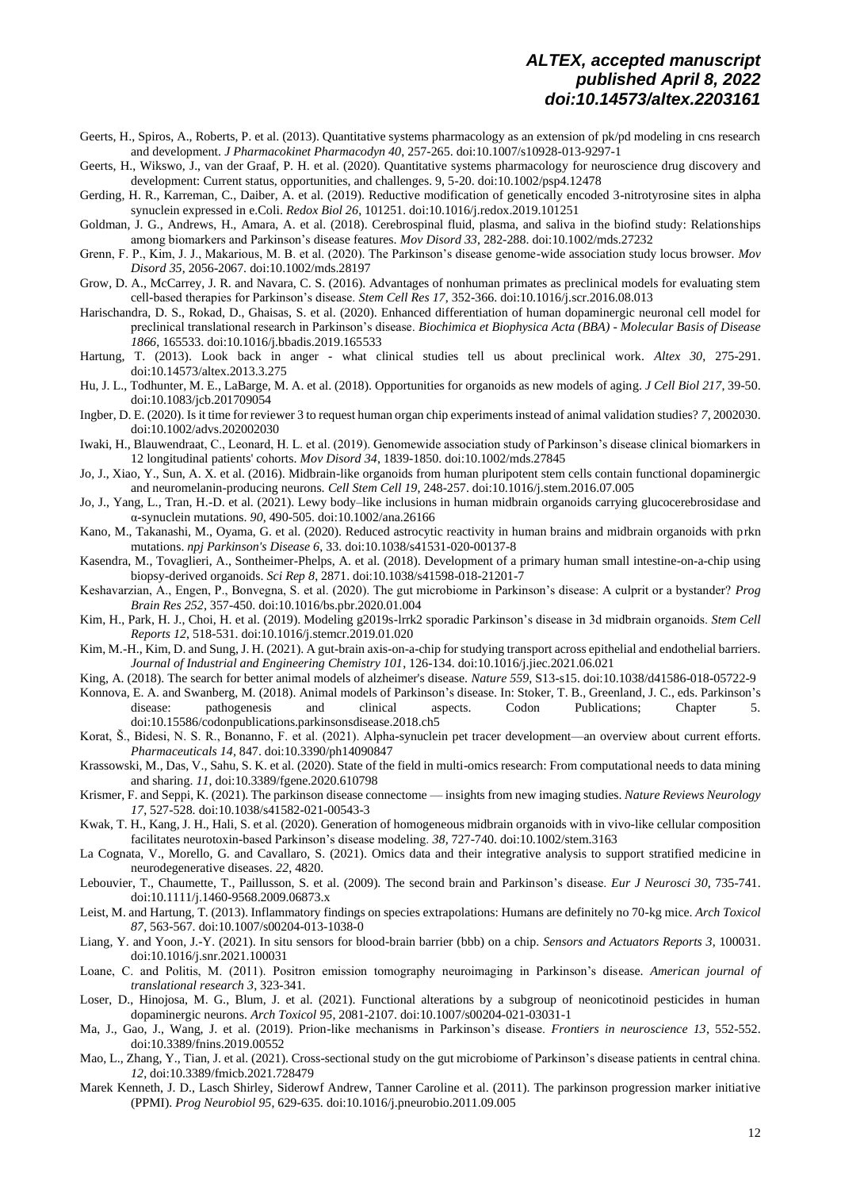- Geerts, H., Spiros, A., Roberts, P. et al. (2013). Quantitative systems pharmacology as an extension of pk/pd modeling in cns research and development. *J Pharmacokinet Pharmacodyn 40*, 257-265. doi:10.1007/s10928-013-9297-1
- Geerts, H., Wikswo, J., van der Graaf, P. H. et al. (2020). Quantitative systems pharmacology for neuroscience drug discovery and development: Current status, opportunities, and challenges. 9, 5-20. doi:10.1002/psp4.12478
- Gerding, H. R., Karreman, C., Daiber, A. et al. (2019). Reductive modification of genetically encoded 3-nitrotyrosine sites in alpha synuclein expressed in e.Coli. *Redox Biol 26*, 101251. doi:10.1016/j.redox.2019.101251
- Goldman, J. G., Andrews, H., Amara, A. et al. (2018). Cerebrospinal fluid, plasma, and saliva in the biofind study: Relationships among biomarkers and Parkinson's disease features. *Mov Disord 33*, 282-288. doi:10.1002/mds.27232
- Grenn, F. P., Kim, J. J., Makarious, M. B. et al. (2020). The Parkinson's disease genome-wide association study locus browser. *Mov Disord 35*, 2056-2067. doi:10.1002/mds.28197
- Grow, D. A., McCarrey, J. R. and Navara, C. S. (2016). Advantages of nonhuman primates as preclinical models for evaluating stem cell-based therapies for Parkinson's disease. *Stem Cell Res 17*, 352-366. doi:10.1016/j.scr.2016.08.013
- Harischandra, D. S., Rokad, D., Ghaisas, S. et al. (2020). Enhanced differentiation of human dopaminergic neuronal cell model for preclinical translational research in Parkinson's disease. *Biochimica et Biophysica Acta (BBA) - Molecular Basis of Disease 1866*, 165533. doi:10.1016/j.bbadis.2019.165533
- Hartung, T. (2013). Look back in anger what clinical studies tell us about preclinical work. *Altex 30*, 275-291. doi:10.14573/altex.2013.3.275
- Hu, J. L., Todhunter, M. E., LaBarge, M. A. et al. (2018). Opportunities for organoids as new models of aging. *J Cell Biol 217*, 39-50. doi:10.1083/jcb.201709054
- Ingber, D. E. (2020). Is it time for reviewer 3 to request human organ chip experiments instead of animal validation studies? *7*, 2002030. doi:10.1002/advs.202002030
- Iwaki, H., Blauwendraat, C., Leonard, H. L. et al. (2019). Genomewide association study of Parkinson's disease clinical biomarkers in 12 longitudinal patients' cohorts. *Mov Disord 34*, 1839-1850. doi:10.1002/mds.27845
- Jo, J., Xiao, Y., Sun, A. X. et al. (2016). Midbrain-like organoids from human pluripotent stem cells contain functional dopaminergic and neuromelanin-producing neurons. *Cell Stem Cell 19*, 248-257. doi:10.1016/j.stem.2016.07.005
- Jo, J., Yang, L., Tran, H.-D. et al. (2021). Lewy body–like inclusions in human midbrain organoids carrying glucocerebrosidase and α-synuclein mutations. *90*, 490-505. doi:10.1002/ana.26166
- Kano, M., Takanashi, M., Oyama, G. et al. (2020). Reduced astrocytic reactivity in human brains and midbrain organoids with prkn mutations. *npj Parkinson's Disease 6*, 33. doi:10.1038/s41531-020-00137-8
- Kasendra, M., Tovaglieri, A., Sontheimer-Phelps, A. et al. (2018). Development of a primary human small intestine-on-a-chip using biopsy-derived organoids. *Sci Rep 8*, 2871. doi:10.1038/s41598-018-21201-7
- Keshavarzian, A., Engen, P., Bonvegna, S. et al. (2020). The gut microbiome in Parkinson's disease: A culprit or a bystander? *Prog Brain Res 252*, 357-450. doi:10.1016/bs.pbr.2020.01.004
- Kim, H., Park, H. J., Choi, H. et al. (2019). Modeling g2019s-lrrk2 sporadic Parkinson's disease in 3d midbrain organoids. *Stem Cell Reports 12*, 518-531. doi:10.1016/j.stemcr.2019.01.020
- Kim, M.-H., Kim, D. and Sung, J. H. (2021). A gut-brain axis-on-a-chip for studying transport across epithelial and endothelial barriers. *Journal of Industrial and Engineering Chemistry 101*, 126-134. doi:10.1016/j.jiec.2021.06.021
- King, A. (2018). The search for better animal models of alzheimer's disease. *Nature 559*, S13-s15. doi:10.1038/d41586-018-05722-9
- Konnova, E. A. and Swanberg, M. (2018). Animal models of Parkinson's disease. In: Stoker, T. B., Greenland, J. C., eds. Parkinson's disease: pathogenesis and clinical aspects. Codon Publications; Chapter 5. [doi:10.15586/codonpublications.parkinsonsdisease.2018.ch5](https://doi.org/10.15586/codonpublications.parkinsonsdisease.2018.ch5)
- Korat, Š., Bidesi, N. S. R., Bonanno, F. et al. (2021). Alpha-synuclein pet tracer development—an overview about current efforts. *Pharmaceuticals 14,* 847. doi:10.3390/ph14090847
- Krassowski, M., Das, V., Sahu, S. K. et al. (2020). State of the field in multi-omics research: From computational needs to data mining and sharing. *11*, doi:10.3389/fgene.2020.610798
- Krismer, F. and Seppi, K. (2021). The parkinson disease connectome insights from new imaging studies. *Nature Reviews Neurology 17*, 527-528. doi:10.1038/s41582-021-00543-3
- Kwak, T. H., Kang, J. H., Hali, S. et al. (2020). Generation of homogeneous midbrain organoids with in vivo-like cellular composition facilitates neurotoxin-based Parkinson's disease modeling. *38*, 727-740. doi:10.1002/stem.3163
- La Cognata, V., Morello, G. and Cavallaro, S. (2021). Omics data and their integrative analysis to support stratified medicine in neurodegenerative diseases. *22*, 4820.
- Lebouvier, T., Chaumette, T., Paillusson, S. et al. (2009). The second brain and Parkinson's disease. *Eur J Neurosci 30*, 735-741. doi:10.1111/j.1460-9568.2009.06873.x
- Leist, M. and Hartung, T. (2013). Inflammatory findings on species extrapolations: Humans are definitely no 70-kg mice. *Arch Toxicol 87*, 563-567. doi:10.1007/s00204-013-1038-0
- Liang, Y. and Yoon, J.-Y. (2021). In situ sensors for blood-brain barrier (bbb) on a chip. *Sensors and Actuators Reports 3*, 100031. doi:10.1016/j.snr.2021.100031
- Loane, C. and Politis, M. (2011). Positron emission tomography neuroimaging in Parkinson's disease. *American journal of translational research 3*, 323-341.
- Loser, D., Hinojosa, M. G., Blum, J. et al. (2021). Functional alterations by a subgroup of neonicotinoid pesticides in human dopaminergic neurons. *Arch Toxicol 95*, 2081-2107. doi:10.1007/s00204-021-03031-1
- Ma, J., Gao, J., Wang, J. et al. (2019). Prion-like mechanisms in Parkinson's disease. *Frontiers in neuroscience 13*, 552-552. doi:10.3389/fnins.2019.00552
- Mao, L., Zhang, Y., Tian, J. et al. (2021). Cross-sectional study on the gut microbiome of Parkinson's disease patients in central china. *12*, doi:10.3389/fmicb.2021.728479
- Marek Kenneth, J. D., Lasch Shirley, Siderowf Andrew, Tanner Caroline et al. (2011). The parkinson progression marker initiative (PPMI). *Prog Neurobiol 95*, 629-635. doi:10.1016/j.pneurobio.2011.09.005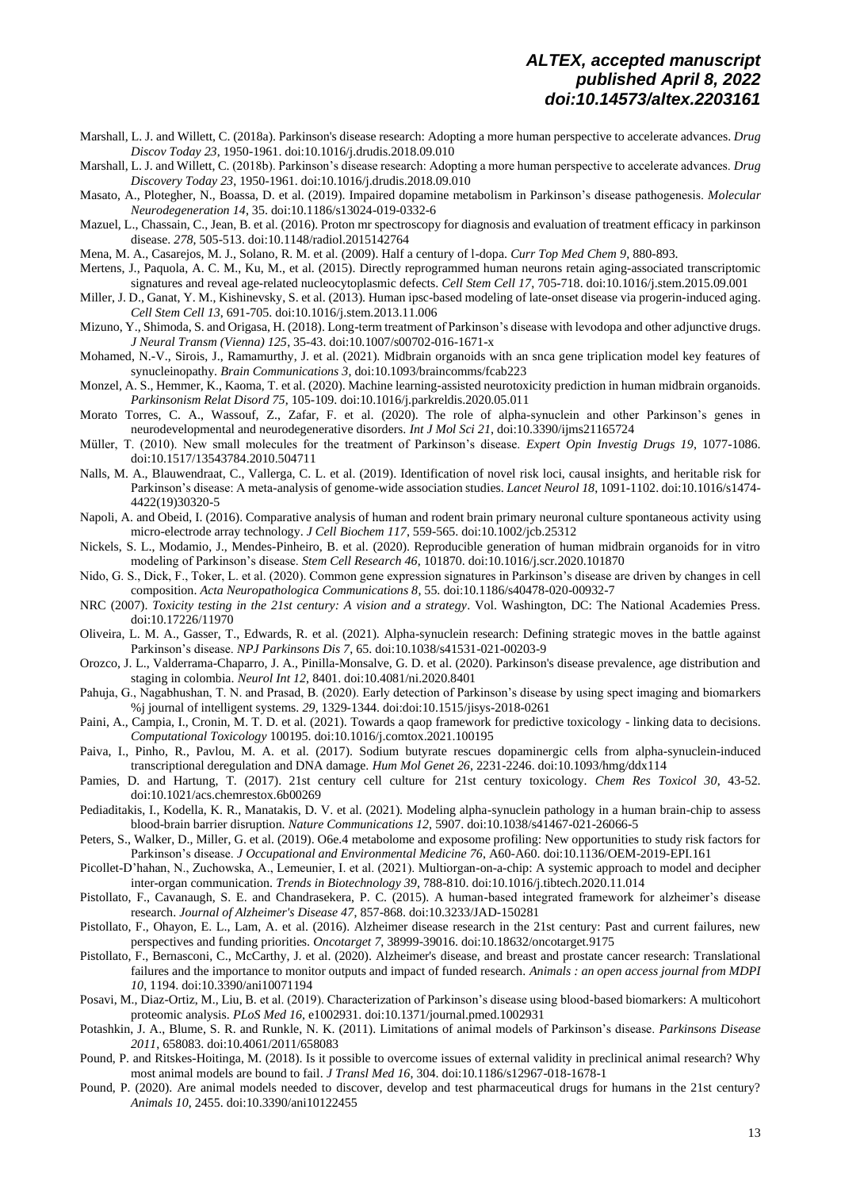- Marshall, L. J. and Willett, C. (2018a). Parkinson's disease research: Adopting a more human perspective to accelerate advances. *Drug Discov Today 23*, 1950-1961. doi:10.1016/j.drudis.2018.09.010
- Marshall, L. J. and Willett, C. (2018b). Parkinson's disease research: Adopting a more human perspective to accelerate advances. *Drug Discovery Today 23*, 1950-1961. doi:10.1016/j.drudis.2018.09.010
- Masato, A., Plotegher, N., Boassa, D. et al. (2019). Impaired dopamine metabolism in Parkinson's disease pathogenesis. *Molecular Neurodegeneration 14*, 35. doi:10.1186/s13024-019-0332-6
- Mazuel, L., Chassain, C., Jean, B. et al. (2016). Proton mr spectroscopy for diagnosis and evaluation of treatment efficacy in parkinson disease. *278*, 505-513. doi:10.1148/radiol.2015142764
- Mena, M. A., Casarejos, M. J., Solano, R. M. et al. (2009). Half a century of l-dopa. *Curr Top Med Chem 9*, 880-893.
- Mertens, J., Paquola, A. C. M., Ku, M., et al. (2015). Directly reprogrammed human neurons retain aging-associated transcriptomic signatures and reveal age-related nucleocytoplasmic defects. *Cell Stem Cell 17*, 705-718. [doi:10.1016/j.stem.2015.09.001](https://doi.org/10.1016/j.stem.2015.09.001)
- Miller, J. D., Ganat, Y. M., Kishinevsky, S. et al. (2013). Human ipsc-based modeling of late-onset disease via progerin-induced aging. *Cell Stem Cell 13*, 691-705. doi:10.1016/j.stem.2013.11.006
- Mizuno, Y., Shimoda, S. and Origasa, H. (2018). Long-term treatment of Parkinson's disease with levodopa and other adjunctive drugs. *J Neural Transm (Vienna) 125*, 35-43. doi:10.1007/s00702-016-1671-x
- Mohamed, N.-V., Sirois, J., Ramamurthy, J. et al. (2021). Midbrain organoids with an snca gene triplication model key features of synucleinopathy. *Brain Communications 3*, doi:10.1093/braincomms/fcab223
- Monzel, A. S., Hemmer, K., Kaoma, T. et al. (2020). Machine learning-assisted neurotoxicity prediction in human midbrain organoids. *Parkinsonism Relat Disord 75*, 105-109. doi:10.1016/j.parkreldis.2020.05.011
- Morato Torres, C. A., Wassouf, Z., Zafar, F. et al. (2020). The role of alpha-synuclein and other Parkinson's genes in neurodevelopmental and neurodegenerative disorders. *Int J Mol Sci 21*, doi:10.3390/ijms21165724
- Müller, T. (2010). New small molecules for the treatment of Parkinson's disease. *Expert Opin Investig Drugs 19*, 1077-1086. doi:10.1517/13543784.2010.504711
- Nalls, M. A., Blauwendraat, C., Vallerga, C. L. et al. (2019). Identification of novel risk loci, causal insights, and heritable risk for Parkinson's disease: A meta-analysis of genome-wide association studies. *Lancet Neurol 18*, 1091-1102. doi:10.1016/s1474- 4422(19)30320-5
- Napoli, A. and Obeid, I. (2016). Comparative analysis of human and rodent brain primary neuronal culture spontaneous activity using micro-electrode array technology. *J Cell Biochem 117*, 559-565. doi:10.1002/jcb.25312
- Nickels, S. L., Modamio, J., Mendes-Pinheiro, B. et al. (2020). Reproducible generation of human midbrain organoids for in vitro modeling of Parkinson's disease. *Stem Cell Research 46*, 101870. doi:10.1016/j.scr.2020.101870
- Nido, G. S., Dick, F., Toker, L. et al. (2020). Common gene expression signatures in Parkinson's disease are driven by changes in cell composition. *Acta Neuropathologica Communications 8*, 55. doi:10.1186/s40478-020-00932-7
- NRC (2007). *Toxicity testing in the 21st century: A vision and a strategy*. Vol. Washington, DC: The National Academies Press. doi:10.17226/11970
- Oliveira, L. M. A., Gasser, T., Edwards, R. et al. (2021). Alpha-synuclein research: Defining strategic moves in the battle against Parkinson's disease. *NPJ Parkinsons Dis 7*, 65. doi:10.1038/s41531-021-00203-9
- Orozco, J. L., Valderrama-Chaparro, J. A., Pinilla-Monsalve, G. D. et al. (2020). Parkinson's disease prevalence, age distribution and staging in colombia. *Neurol Int 12*, 8401. doi:10.4081/ni.2020.8401
- Pahuja, G., Nagabhushan, T. N. and Prasad, B. (2020). Early detection of Parkinson's disease by using spect imaging and biomarkers %j journal of intelligent systems. *29*, 1329-1344. doi:doi:10.1515/jisys-2018-0261
- Paini, A., Campia, I., Cronin, M. T. D. et al. (2021). Towards a qaop framework for predictive toxicology linking data to decisions. *Computational Toxicology* 100195. doi:10.1016/j.comtox.2021.100195
- Paiva, I., Pinho, R., Pavlou, M. A. et al. (2017). Sodium butyrate rescues dopaminergic cells from alpha-synuclein-induced transcriptional deregulation and DNA damage. *Hum Mol Genet 26*, 2231-2246. doi:10.1093/hmg/ddx114
- Pamies, D. and Hartung, T. (2017). 21st century cell culture for 21st century toxicology. *Chem Res Toxicol 30*, 43-52. doi:10.1021/acs.chemrestox.6b00269
- Pediaditakis, I., Kodella, K. R., Manatakis, D. V. et al. (2021). Modeling alpha-synuclein pathology in a human brain-chip to assess blood-brain barrier disruption. *Nature Communications 12*, 5907. doi:10.1038/s41467-021-26066-5
- Peters, S., Walker, D., Miller, G. et al. (2019). O6e.4 metabolome and exposome profiling: New opportunities to study risk factors for Parkinson's disease. *J Occupational and Environmental Medicine 76*, A60-A60. doi:10.1136/OEM-2019-EPI.161
- Picollet-D'hahan, N., Zuchowska, A., Lemeunier, I. et al. (2021). Multiorgan-on-a-chip: A systemic approach to model and decipher inter-organ communication. *Trends in Biotechnology 39*, 788-810. doi:10.1016/j.tibtech.2020.11.014
- Pistollato, F., Cavanaugh, S. E. and Chandrasekera, P. C. (2015). A human-based integrated framework for alzheimer's disease research. *Journal of Alzheimer's Disease 47*, 857-868. doi:10.3233/JAD-150281
- Pistollato, F., Ohayon, E. L., Lam, A. et al. (2016). Alzheimer disease research in the 21st century: Past and current failures, new perspectives and funding priorities. *Oncotarget 7*, 38999-39016. doi:10.18632/oncotarget.9175
- Pistollato, F., Bernasconi, C., McCarthy, J. et al. (2020). Alzheimer's disease, and breast and prostate cancer research: Translational failures and the importance to monitor outputs and impact of funded research. *Animals : an open access journal from MDPI 10*, 1194. doi:10.3390/ani10071194
- Posavi, M., Diaz-Ortiz, M., Liu, B. et al. (2019). Characterization of Parkinson's disease using blood-based biomarkers: A multicohort proteomic analysis. *PLoS Med 16*, e1002931. doi:10.1371/journal.pmed.1002931
- Potashkin, J. A., Blume, S. R. and Runkle, N. K. (2011). Limitations of animal models of Parkinson's disease. *Parkinsons Disease 2011*, 658083. doi:10.4061/2011/658083
- Pound, P. and Ritskes-Hoitinga, M. (2018). Is it possible to overcome issues of external validity in preclinical animal research? Why most animal models are bound to fail. *J Transl Med 16*, 304. doi:10.1186/s12967-018-1678-1
- Pound, P. (2020). Are animal models needed to discover, develop and test pharmaceutical drugs for humans in the 21st century? *Animals 10*, 2455. doi:10.3390/ani10122455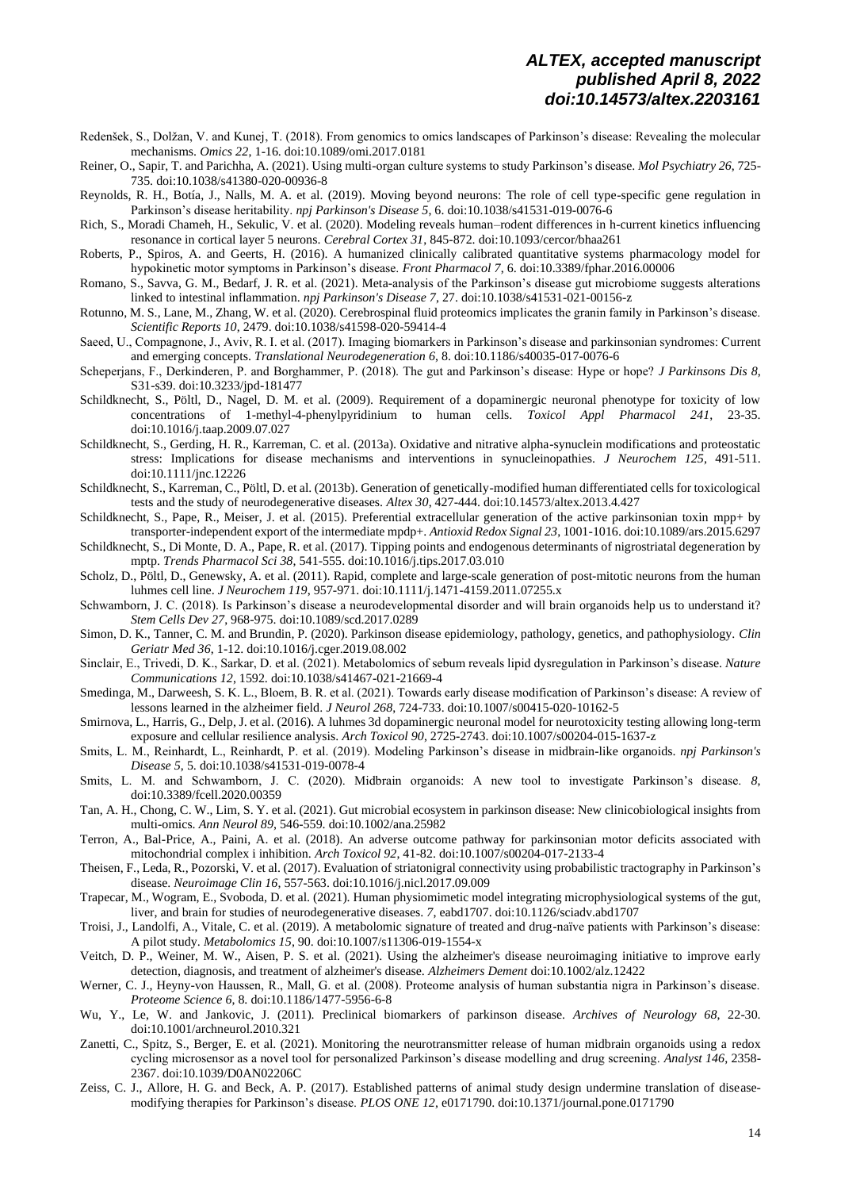- Redenšek, S., Dolžan, V. and Kunej, T. (2018). From genomics to omics landscapes of Parkinson's disease: Revealing the molecular mechanisms. *Omics 22*, 1-16. doi:10.1089/omi.2017.0181
- Reiner, O., Sapir, T. and Parichha, A. (2021). Using multi-organ culture systems to study Parkinson's disease. *Mol Psychiatry 26*, 725- 735. doi:10.1038/s41380-020-00936-8
- Reynolds, R. H., Botía, J., Nalls, M. A. et al. (2019). Moving beyond neurons: The role of cell type-specific gene regulation in Parkinson's disease heritability. *npj Parkinson's Disease 5*, 6. doi:10.1038/s41531-019-0076-6
- Rich, S., Moradi Chameh, H., Sekulic, V. et al. (2020). Modeling reveals human–rodent differences in h-current kinetics influencing resonance in cortical layer 5 neurons. *Cerebral Cortex 31*, 845-872. doi:10.1093/cercor/bhaa261
- Roberts, P., Spiros, A. and Geerts, H. (2016). A humanized clinically calibrated quantitative systems pharmacology model for hypokinetic motor symptoms in Parkinson's disease. *Front Pharmacol 7*, 6. doi:10.3389/fphar.2016.00006
- Romano, S., Savva, G. M., Bedarf, J. R. et al. (2021). Meta-analysis of the Parkinson's disease gut microbiome suggests alterations linked to intestinal inflammation. *npj Parkinson's Disease 7*, 27. doi:10.1038/s41531-021-00156-z
- Rotunno, M. S., Lane, M., Zhang, W. et al. (2020). Cerebrospinal fluid proteomics implicates the granin family in Parkinson's disease. *Scientific Reports 10*, 2479. doi:10.1038/s41598-020-59414-4
- Saeed, U., Compagnone, J., Aviv, R. I. et al. (2017). Imaging biomarkers in Parkinson's disease and parkinsonian syndromes: Current and emerging concepts. *Translational Neurodegeneration 6*, 8. doi:10.1186/s40035-017-0076-6
- Scheperjans, F., Derkinderen, P. and Borghammer, P. (2018). The gut and Parkinson's disease: Hype or hope? *J Parkinsons Dis 8*, S31-s39. doi:10.3233/jpd-181477
- Schildknecht, S., Pöltl, D., Nagel, D. M. et al. (2009). Requirement of a dopaminergic neuronal phenotype for toxicity of low concentrations of 1-methyl-4-phenylpyridinium to human cells. *Toxicol Appl Pharmacol 241*, 23-35. doi:10.1016/j.taap.2009.07.027
- Schildknecht, S., Gerding, H. R., Karreman, C. et al. (2013a). Oxidative and nitrative alpha-synuclein modifications and proteostatic stress: Implications for disease mechanisms and interventions in synucleinopathies. *J Neurochem 125*, 491-511. doi:10.1111/jnc.12226
- Schildknecht, S., Karreman, C., Pöltl, D. et al. (2013b). Generation of genetically-modified human differentiated cells for toxicological tests and the study of neurodegenerative diseases. *Altex 30*, 427-444. doi:10.14573/altex.2013.4.427
- Schildknecht, S., Pape, R., Meiser, J. et al. (2015). Preferential extracellular generation of the active parkinsonian toxin mpp+ by transporter-independent export of the intermediate mpdp+. *Antioxid Redox Signal 23*, 1001-1016. doi:10.1089/ars.2015.6297
- Schildknecht, S., Di Monte, D. A., Pape, R. et al. (2017). Tipping points and endogenous determinants of nigrostriatal degeneration by mptp. *Trends Pharmacol Sci 38*, 541-555. doi:10.1016/j.tips.2017.03.010
- Scholz, D., Pöltl, D., Genewsky, A. et al. (2011). Rapid, complete and large-scale generation of post-mitotic neurons from the human luhmes cell line. *J Neurochem 119*, 957-971. doi:10.1111/j.1471-4159.2011.07255.x
- Schwamborn, J. C. (2018). Is Parkinson's disease a neurodevelopmental disorder and will brain organoids help us to understand it? *Stem Cells Dev 27*, 968-975. doi:10.1089/scd.2017.0289
- Simon, D. K., Tanner, C. M. and Brundin, P. (2020). Parkinson disease epidemiology, pathology, genetics, and pathophysiology. *Clin Geriatr Med 36*, 1-12. doi:10.1016/j.cger.2019.08.002
- Sinclair, E., Trivedi, D. K., Sarkar, D. et al. (2021). Metabolomics of sebum reveals lipid dysregulation in Parkinson's disease. *Nature Communications 12*, 1592. doi:10.1038/s41467-021-21669-4
- Smedinga, M., Darweesh, S. K. L., Bloem, B. R. et al. (2021). Towards early disease modification of Parkinson's disease: A review of lessons learned in the alzheimer field. *J Neurol 268*, 724-733. doi:10.1007/s00415-020-10162-5
- Smirnova, L., Harris, G., Delp, J. et al. (2016). A luhmes 3d dopaminergic neuronal model for neurotoxicity testing allowing long-term exposure and cellular resilience analysis. *Arch Toxicol 90*, 2725-2743. doi:10.1007/s00204-015-1637-z
- Smits, L. M., Reinhardt, L., Reinhardt, P. et al. (2019). Modeling Parkinson's disease in midbrain-like organoids. *npj Parkinson's Disease 5*, 5. doi:10.1038/s41531-019-0078-4
- Smits, L. M. and Schwamborn, J. C. (2020). Midbrain organoids: A new tool to investigate Parkinson's disease. *8*, doi:10.3389/fcell.2020.00359
- Tan, A. H., Chong, C. W., Lim, S. Y. et al. (2021). Gut microbial ecosystem in parkinson disease: New clinicobiological insights from multi-omics. *Ann Neurol 89*, 546-559. doi:10.1002/ana.25982
- Terron, A., Bal-Price, A., Paini, A. et al. (2018). An adverse outcome pathway for parkinsonian motor deficits associated with mitochondrial complex i inhibition. *Arch Toxicol 92*, 41-82. doi:10.1007/s00204-017-2133-4
- Theisen, F., Leda, R., Pozorski, V. et al. (2017). Evaluation of striatonigral connectivity using probabilistic tractography in Parkinson's disease. *Neuroimage Clin 16*, 557-563. doi:10.1016/j.nicl.2017.09.009
- Trapecar, M., Wogram, E., Svoboda, D. et al. (2021). Human physiomimetic model integrating microphysiological systems of the gut, liver, and brain for studies of neurodegenerative diseases. *7*, eabd1707. doi:10.1126/sciadv.abd1707
- Troisi, J., Landolfi, A., Vitale, C. et al. (2019). A metabolomic signature of treated and drug-naïve patients with Parkinson's disease: A pilot study. *Metabolomics 15*, 90. doi:10.1007/s11306-019-1554-x
- Veitch, D. P., Weiner, M. W., Aisen, P. S. et al. (2021). Using the alzheimer's disease neuroimaging initiative to improve early detection, diagnosis, and treatment of alzheimer's disease. *Alzheimers Dement* doi:10.1002/alz.12422
- Werner, C. J., Heyny-von Haussen, R., Mall, G. et al. (2008). Proteome analysis of human substantia nigra in Parkinson's disease. *Proteome Science 6*, 8. doi:10.1186/1477-5956-6-8
- Wu, Y., Le, W. and Jankovic, J. (2011). Preclinical biomarkers of parkinson disease. *Archives of Neurology 68*, 22-30. doi:10.1001/archneurol.2010.321
- Zanetti, C., Spitz, S., Berger, E. et al. (2021). Monitoring the neurotransmitter release of human midbrain organoids using a redox cycling microsensor as a novel tool for personalized Parkinson's disease modelling and drug screening. *Analyst 146*, 2358- 2367. doi:10.1039/D0AN02206C
- Zeiss, C. J., Allore, H. G. and Beck, A. P. (2017). Established patterns of animal study design undermine translation of diseasemodifying therapies for Parkinson's disease. *PLOS ONE 12*, e0171790. doi:10.1371/journal.pone.0171790